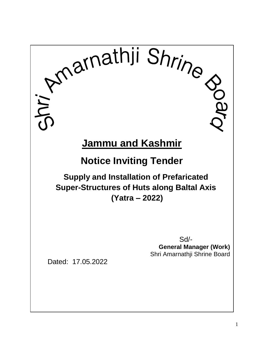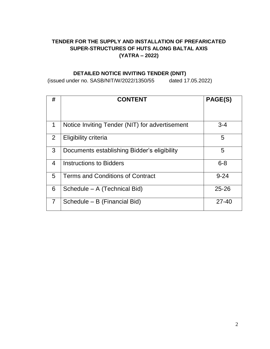# **TENDER FOR THE SUPPLY AND INSTALLATION OF PREFARICATED SUPER-STRUCTURES OF HUTS ALONG BALTAL AXIS (YATRA – 2022)**

# **DETAILED NOTICE INVITING TENDER (DNIT)**

(issued under no. SASB/NIT/W/2022/1350/55 dated 17.05.2022)

| #              | <b>CONTENT</b>                                 | PAGE(S)   |
|----------------|------------------------------------------------|-----------|
|                |                                                |           |
| 1              | Notice Inviting Tender (NIT) for advertisement | $3 - 4$   |
| $\overline{2}$ | Eligibility criteria                           | 5         |
| 3              | Documents establishing Bidder's eligibility    | 5         |
| $\overline{4}$ | <b>Instructions to Bidders</b>                 | $6 - 8$   |
| 5              | <b>Terms and Conditions of Contract</b>        | $9 - 24$  |
| 6              | Schedule – A (Technical Bid)                   | $25 - 26$ |
| $\overline{7}$ | Schedule - B (Financial Bid)                   | $27 - 40$ |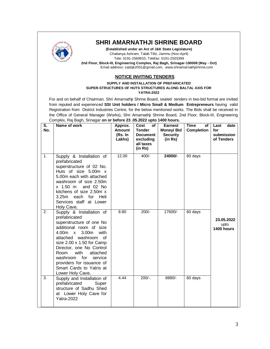

# **SHRI AMARNATHJI SHRINE BOARD**

**(Established under an Act of J&K State Legislature)** Chaitanya Ashram, Talab Tillo, Jammu (Nov-April) Tele: 0191-2569910, Telefax: 0191-2503399 **2nd Floor, Block-III, Engineering Complex, Raj Bagh, Srinagar-190008 (May - Oct)** Email address: sasbjk2001@gmail.com, www.shriamarnathjishrine.com

#### **NOTICE INVITING TENDERS**

**SUPPLY AND INSTALLATION OF PREFARICATED SUPER-STRUCTURES OF HUTS STRUCTURES ALONG BALTAL AXIS FOR YATRA-2022**

For and on behalf of Chairman, Shri Amarnathji Shrine Board, sealed tenders in two-bid format are invited from reputed and experienced **SSI Unit holders / Micro Small & Medium Entrepreneurs** having valid Registration from District Industries Centre, for the below mentioned works. The Bids shall be received in the Office of General Manager (Works), Shri Amarnathji Shrine Board, 2nd Floor, Block-III, Engineering Complex, Raj Bagh, Srinagar **on or before 23 .05.2022 upto 1400 hours.**

| S.<br>No. | - ب ت<br>Name of work                                                                                                                                                                                                                                                                                                                                                   | Approx.<br>Amount<br>(Rs. In<br>Lakhs) | of<br>Cost<br><b>Tender</b><br><b>Document</b><br>excluding<br>all taxes<br>(in Rs) | <b>Earnest</b><br>Money/ Bid<br><b>Security</b><br>(in Rs) | <b>Time</b><br>οf<br><b>Completion</b> | Last<br>date<br>for<br>submission<br>of Tenders |
|-----------|-------------------------------------------------------------------------------------------------------------------------------------------------------------------------------------------------------------------------------------------------------------------------------------------------------------------------------------------------------------------------|----------------------------------------|-------------------------------------------------------------------------------------|------------------------------------------------------------|----------------------------------------|-------------------------------------------------|
| 1.        | Supply & Installation of<br>prefabricated<br>superstructure of 02 No.<br>Huts of size 5.00m x<br>5.00m each with attached<br>washroom of size 2.50m<br>x 1.50 m<br>and 02 No<br>kitchens of size 2.50m x<br>each<br>for Heli<br>3.25 <sub>m</sub><br>Services staff at Lower<br>Holy Cave.                                                                              | 12.00                                  | $400/-$                                                                             | 24000/-                                                    | 60 days                                |                                                 |
| 2.        | Supply & Installation of<br>prefabricated<br>superstructure of one No<br>additional room of size<br>3.00 <sub>m</sub><br>with<br>$4.00m \times$<br>attached washroom of<br>size 2.00 x 1.50 for Camp<br>Director, one No Control<br>with<br>Room<br>attached<br>for<br>washroom<br>service<br>providers for issuance of<br>Smart Cards to Yatris at<br>Lower Holy Cave. | 8.80                                   | $200/-$                                                                             | 17600/-                                                    | 60 days                                | 23.05.2022<br>upto<br>1400 hours                |
| 3.        | Supply and Installation of<br>prefabricated<br>Super<br>structure of Sadhu Shed<br>at Lower Holy Cave for<br>Yatra-2022                                                                                                                                                                                                                                                 | 4.44                                   | $200/-$ .                                                                           | 8880/-                                                     | 60 days                                |                                                 |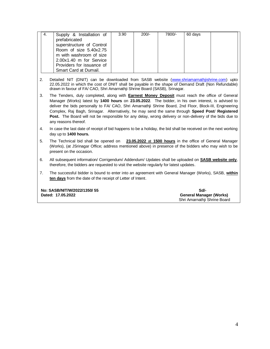| 4. | Supply & Installation of<br>prefabricated<br>superstructure of Control<br>Room of size 5.40x2.75<br>m with washroom of size<br>2.00x1.40 m for Service<br>Providers for issuance of | 3.90 | $200/-$ | 7800/- | 60 days |  |
|----|-------------------------------------------------------------------------------------------------------------------------------------------------------------------------------------|------|---------|--------|---------|--|
|    | Smart Card at Dumail.                                                                                                                                                               |      |         |        |         |  |

- 2. Detailed NIT (DNIT) can be downloaded from SASB website [\(www.shriamarnathjishrine.com\)](http://www.shriamarnathjishrine.com/) upto 22.05.2022 in which the cost of DNIT shall be payable in the shape of Demand Draft (Non Refundable) drawn in favour of FA/ CAO, Shri Amarnathji Shrine Board (SASB), Srinagar.
- 3. The Tenders, duly completed, along with **Earnest Money Deposit** must reach the office of General Manager (Works) latest by **1400 hours** on **23.05.2022**. The bidder, in his own interest, is advised to deliver the bids personally to FA/ CAO, Shri Amarnathji Shrine Board, 2nd Floor, Block-III, Engineering Complex, Raj Bagh, Srinagar. Alternatively, he may send the same through **Speed Post**/ **Registered Post.** The Board will not be responsible for any delay, wrong delivery or non-delivery of the bids due to any reasons thereof.
- 4. In case the last date of receipt of bid happens to be a holiday, the bid shall be received on the next working day up to **1400 hours.**
- 5. The Technical bid shall be opened on **23.05.2022** at **1500 hours** in the office of General Manager (Works), (at JSrinagar Office; address mentioned above) in presence of the bidders who may wish to be present on the occasion.
- 6. All subsequent information/ Corrigendum/ Addendum/ Updates shall be uploaded on **SASB website only**, therefore, the bidders are requested to visit the website regularly for latest updates.
- 7. The successful bidder is bound to enter into an agreement with General Manager (Works), SASB, **within ten days** from the date of the receipt of Letter of Intent.

**No: SASB/NIT/W/2022/1350/ 55 Sd/- Research State of State of State of State of State of State of State of State of State of State of State of State of State of State of State of State of State of State of State of State o** 

**General Manager (Works)** Shri Amarnathji Shrine Board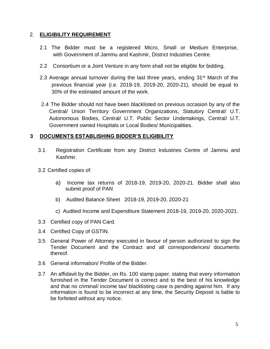# 2. **ELIGIBILITY REQUIREMENT**

- 2.1 The Bidder must be a registered Micro, Small or Medium Enterprise, with Government of Jammu and Kashmir, District Industries Centre.
- 2.2 Consortium or a Joint Venture in any form shall not be eligible for bidding.
- 2.3 Average annual turnover during the last three years, ending 31<sup>st</sup> March of the previous financial year (i.e. 2018-19, 2019-20, 2020-21), should be equal to 30% of the estimated amount of the work.
- 2.4 The Bidder should not have been blacklisted on previous occasion by any of the Central/ Union Territory Government Organizations, Statutory Central/ U.T. Autonomous Bodies, Central/ U.T. Public Sector Undertakings, Central/ U.T. Government owned Hospitals or Local Bodies/ Municipalities.

# **3 DOCUMENTS ESTABLISHING BIDDER'S ELIGIBILITY**

- 3.1 Registration Certificate from any District Industries Centre of Jammu and Kashmir.
- 3.2 Certified copies of:
	- a) Income tax returns of 2018-19, 2019-20, 2020-21. Bidder shall also submit proof of PAN
	- b) Audited Balance Sheet 2018-19, 2019-20, 2020-21
	- c) Audited Income and Expenditure Statement 2018-19, 2019-20, 2020-2021.
- 3.3 Certified copy of PAN Card.
- 3.4 Certified Copy of GSTIN.
- 3.5 General Power of Attorney executed in favour of person authorized to sign the Tender Document and the Contract and all correspondences/ documents thereof.
- 3.6 General information/ Profile of the Bidder.
- 3.7 An affidavit by the Bidder, on Rs. 100 stamp paper, stating that every information furnished in the Tender Document is correct and to the best of his knowledge and that no criminal/ income tax/ blacklisting case is pending against him. If any information is found to be incorrect at any time, the Security Deposit is liable to be forfeited without any notice.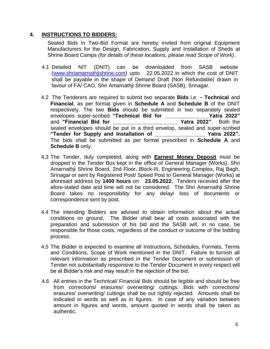### **4. INSTRUCTIONS TO BIDDERS:**

Sealed Bids in Two-Bid Format are hereby invited from original Equipment Manufacturers for the Design, Fabrication, Supply and Installation of Sheds at Shrine Board Camps *(for details of these locations, please read Scope of Work)*.

- 4.1 Detailed NIT (DNIT) can be downloaded from SASB website [\(www.shriamarnathjishrine.com\)](http://www.shriamarnathjishrine.com/) upto 22.05.2022 in which the cost of DNIT shall be payable in the shape of Demand Draft (Non Refundable) drawn in favour of FA/ CAO, Shri Amarnathji Shrine Board (SASB), Srinagar.
- 4.2 The Tenderers are required to submit two separate **Bids** i.e. **Technical** and **Financial**, as per format given in **Schedule A** and **Schedule B** of the DNIT respectively. The two **Bids** should be submitted in two separately sealed envelopes super-scribed **"Technical Bid for \_\_\_\_\_\_\_\_\_\_\_\_\_\_\_Yatra 2022"**  and **"Financial Bid for \_\_\_\_\_\_\_\_\_\_\_\_\_\_\_\_\_\_\_\_\_\_ Yatra 2022"**. Both the sealed envelopes should be put in a third envelop, sealed and super-scribed **"Tender for Supply and Installation of \_\_\_\_\_\_\_\_\_\_\_\_\_\_\_\_\_ Yatra 2022".**  The bids shall be submitted as per format prescribed in **Schedule A** and **Schedule B** only.
- 4.3 The Tender, duly completed, along with **Earnest Money Deposit** must be dropped in the Tender Box kept in the office of General Manager (Works), Shri Amarnathji Shrine Board, 2nd Floor, Block-III, Engineering Complex, Raj Bagh, Srinagar or sent by Registered Post/ Speed Post to General Manager (Works) at aforesaid address by **1400 hours** on **23.05.2022.** Tenders received after the afore-stated date and time will not be considered. The Shri Amarnathji Shrine Board takes no responsibility for any delay/ loss of documents or correspondence sent by post.
- 4.4 The intending Bidders are advised to obtain information about the actual conditions on ground. The Bidder shall bear all costs associated with the preparation and submission of his bid and the SASB will, in no case, be responsible for those costs, regardless of the conduct or outcome of the bidding process.
- 4.5 The Bidder is expected to examine all Instructions, Schedules, Formats, Terms and Conditions, Scope of Work mentioned in the DNIT. Failure to furnish all relevant information as prescribed in the Tender Document or submission of Tender not substantially responsive to the Tender Document in every respect will be at Bidder's risk and may result in the rejection of the bid.
- 4.6 All entries in the Technical/ Financial Bids should be legible and should be free from corrections/ erasures/ overwriting/ cuttings. Bids with corrections/ erasures/ overwriting/ cuttings shall be out rightly rejected. Amounts shall be indicated in words as well as in figures. In case of any variation between amount in figures and words, amount quoted in words shall be taken as authentic.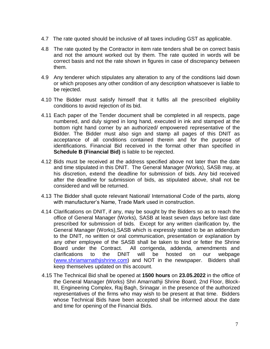- 4.7 The rate quoted should be inclusive of all taxes including GST as applicable.
- 4.8 The rate quoted by the Contractor in item rate tenders shall be on correct basis and not the amount worked out by them. The rate quoted in words will be correct basis and not the rate shown in figures in case of discrepancy between them.
- 4.9 Any tenderer which stipulates any alteration to any of the conditions laid down or which proposes any other condition of any description whatsoever is liable to be rejected.
- 4.10 The Bidder must satisfy himself that it fulfils all the prescribed eligibility conditions to avoid rejection of its bid.
- 4.11 Each paper of the Tender document shall be completed in all respects, page numbered, and duly signed in long hand, executed in ink and stamped at the bottom right hand corner by an authorized/ empowered representative of the Bidder. The Bidder must also sign and stamp all pages of this DNIT as acceptance of all conditions contained therein and for the purpose of identifications. Financial Bid received in the format other than specified in **Schedule B (Financial Bid)** is liable to be rejected.
- 4.12 Bids must be received at the address specified above not later than the date and time stipulated in this DNIT. The General Manager (Works), SASB may, at his discretion, extend the deadline for submission of bids. Any bid received after the deadline for submission of bids, as stipulated above, shall not be considered and will be returned.
- 4.13 The Bidder shall quote relevant National/ International Code of the parts, along with manufacturer's Name, Trade Mark used in construction.
- 4.14 Clarifications on DNIT, if any, may be sought by the Bidders so as to reach the office of General Manager (Works), SASB at least seven days before last date prescribed for submission of bids. Except for any written clarification by, the General Manager (Works),SASB which is expressly stated to be an addendum to the DNIT, no written or oral communication, presentation or explanation by any other employee of the SASB shall be taken to bind or fetter the Shrine Board under the Contract. All corrigenda, addenda, amendments and clarifications to the DNIT will be hosted on our webpage [\(www.shriamarnathjishrine.com\)](http://www.shriamarnathjishrine.com/) and NOT in the newspaper. Bidders shall keep themselves updated on this account.
- 4.15 The Technical Bid shall be opened at **1500 hours** on **23.05.2022** in the office of the General Manager (Works) Shri Amarnathji Shrine Board, 2nd Floor, Block-III, Engineering Complex, Raj Bagh, Srinagar. in the presence of the authorized representatives of the firms who may wish to be present at that time. Bidders whose Technical Bids have been accepted shall be informed about the date and time for opening of the Financial Bids.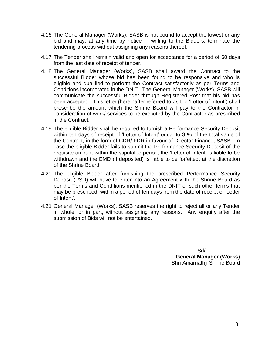- 4.16 The General Manager (Works), SASB is not bound to accept the lowest or any bid and may, at any time by notice in writing to the Bidders, terminate the tendering process without assigning any reasons thereof.
- 4.17 The Tender shall remain valid and open for acceptance for a period of 60 days from the last date of receipt of tender.
- 4.18 The General Manager (Works), SASB shall award the Contract to the successful Bidder whose bid has been found to be responsive and who is eligible and qualified to perform the Contract satisfactorily as per Terms and Conditions incorporated in the DNIT. The General Manager (Works), SASB will communicate the successful Bidder through Registered Post that his bid has been accepted. This letter (hereinafter referred to as the 'Letter of Intent') shall prescribe the amount which the Shrine Board will pay to the Contractor in consideration of work/ services to be executed by the Contractor as prescribed in the Contract.
- 4.19 The eligible Bidder shall be required to furnish a Performance Security Deposit within ten days of receipt of 'Letter of Intent' equal to 3 % of the total value of the Contract, in the form of CDR/ FDR in favour of Director Finance, SASB. In case the eligible Bidder fails to submit the Performance Security Deposit of the requisite amount within the stipulated period, the 'Letter of Intent' is liable to be withdrawn and the EMD (if deposited) is liable to be forfeited, at the discretion of the Shrine Board.
- 4.20 The eligible Bidder after furnishing the prescribed Performance Security Deposit (PSD) will have to enter into an Agreement with the Shrine Board as per the Terms and Conditions mentioned in the DNIT or such other terms that may be prescribed, within a period of ten days from the date of receipt of 'Letter of Intent'.
- 4.21 General Manager (Works), SASB reserves the right to reject all or any Tender in whole, or in part, without assigning any reasons. Any enquiry after the submission of Bids will not be entertained.

 Sd/-  **General Manager (Works)** Shri Amarnathji Shrine Board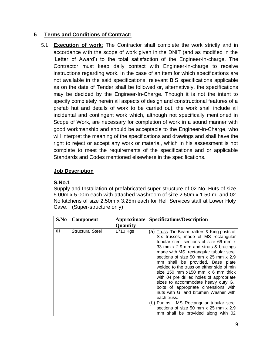# **5 Terms and Conditions of Contract:**

5.1 **Execution of work**: The Contractor shall complete the work strictly and in accordance with the scope of work given in the DNIT (and as modified in the 'Letter of Award') to the total satisfaction of the Engineer-in-charge. The Contractor must keep daily contact with Engineer-in-charge to receive instructions regarding work. In the case of an item for which specifications are not available in the said specifications, relevant BIS specifications applicable as on the date of Tender shall be followed or, alternatively, the specifications may be decided by the Engineer-In-Charge. Though it is not the intent to specify completely herein all aspects of design and constructional features of a prefab hut and details of work to be carried out, the work shall include all incidental and contingent work which, although not specifically mentioned in Scope of Work, are necessary for completion of work in a sound manner with good workmanship and should be acceptable to the Engineer-in-Charge, who will interpret the meaning of the specifications and drawings and shall have the right to reject or accept any work or material, which in his assessment is not complete to meet the requirements of the specifications and or applicable Standards and Codes mentioned elsewhere in the specifications.

# **Job Description**

# **S.No.1**

Supply and Installation of prefabricated super-structure of 02 No. Huts of size 5.00m x 5.00m each with attached washroom of size 2.50m x 1.50 m and 02 No kitchens of size 2.50m x 3.25m each for Heli Services staff at Lower Holy Cave. (Super-structure only)

| S.No | <b>Component</b>        | Approximate | <b>Specifications/Description</b>                                                                                                                                                                                                                                                                                                                                                                                                                                                                                                                                                                                                                                                              |
|------|-------------------------|-------------|------------------------------------------------------------------------------------------------------------------------------------------------------------------------------------------------------------------------------------------------------------------------------------------------------------------------------------------------------------------------------------------------------------------------------------------------------------------------------------------------------------------------------------------------------------------------------------------------------------------------------------------------------------------------------------------------|
|      |                         | Quantity    |                                                                                                                                                                                                                                                                                                                                                                                                                                                                                                                                                                                                                                                                                                |
| 01   | <b>Structural Steel</b> | 1710 Kgs    | (a) Truss. Tie Beam, rafters & King posts of<br>Six trusses, made of MS rectangular<br>tubular steel sections of size 66 mm x<br>33 mm x 2.9 mm and struts & bracings<br>made with MS rectangular tubular steel<br>sections of size 50 mm x 25 mm x 2.9<br>mm shall be provided. Base plate<br>welded to the truss on either side of min<br>size 150 mm $x$ 150 mm $x$ 6 mm thick<br>with 04 pre drilled holes of appropriate<br>sizes to accommodate heavy duty G.I<br>bolts of appropriate dimensions with<br>nuts with GI and bitumen Washer with<br>each truss.<br>(b) Purlins. MS Rectangular tubular steel<br>sections of size 50 mm x 25 mm x 2.9<br>mm shall be provided along with 02 |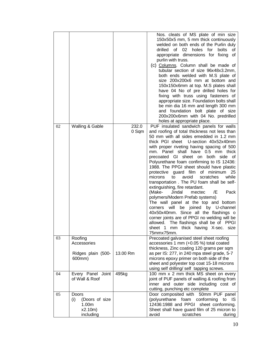| 02 | Walling & Gable                                                 | 232.0<br>0 Sqm | Nos. cleats of MS plate of min size<br>150x50x5 mm, 5 mm thick continuously<br>welded on both ends of the Purlin duly<br>drilled<br>of<br>02 holes for<br>bolts<br>οf<br>appropriate dimensions for fixing of<br>purlin with truss.<br>(c) Columns. Column shall be made of<br>tubular section of size 96x48x3.2mm,<br>both ends welded with M.S plate of<br>size 200x200x6 mm at bottom and<br>150x150x6mm at top. M.S plates shall<br>have 04 No of pre drilled holes for<br>fixing with truss using fasteners of<br>appropriate size. Foundation bolts shall<br>be min dia 16 mm and length 300 mm<br>and foundation bolt plate of size<br>200x200x6mm with 04 No. predrilled<br>holes at appropriate place.<br>PUF insulated sandwich panels for walls<br>and roofing of total thickness not less than<br>50 mm with all sides emedded in 1.2 mm<br>thick PGI sheet U-section 40x52x40mm<br>with proper riveting having spacing of 500<br>Panel shall have 0.5 mm thick<br>mm.<br>precoated GI sheet on both side of<br>Polyurethane foam confirming to IS 12436:<br>1988. The PPGI sheet should have plastic<br>protective guard film of minimum<br>- 25<br>microns<br>to<br>avoid<br>scratches<br>while<br>transportation. The PU foam shall be self-<br>extinguishing, fire retardant.<br>(Make-<br>Jindal<br>/E<br>Pack<br>mectec<br>polymers/Modern Prefab systems)<br>The wall panel at the top and bottom<br>will<br>be joined by U-channel<br>corners<br>40x50x40mm. Since all the flashings o<br>corner joints are of PPGI no welding will be<br>allowed. The flashings shall be of PPGI<br>sheet 1 mm thick having X-sec. size |
|----|-----------------------------------------------------------------|----------------|----------------------------------------------------------------------------------------------------------------------------------------------------------------------------------------------------------------------------------------------------------------------------------------------------------------------------------------------------------------------------------------------------------------------------------------------------------------------------------------------------------------------------------------------------------------------------------------------------------------------------------------------------------------------------------------------------------------------------------------------------------------------------------------------------------------------------------------------------------------------------------------------------------------------------------------------------------------------------------------------------------------------------------------------------------------------------------------------------------------------------------------------------------------------------------------------------------------------------------------------------------------------------------------------------------------------------------------------------------------------------------------------------------------------------------------------------------------------------------------------------------------------------------------------------------------------------------------------------------------------------------------------|
|    |                                                                 |                | 75mmx75mm.                                                                                                                                                                                                                                                                                                                                                                                                                                                                                                                                                                                                                                                                                                                                                                                                                                                                                                                                                                                                                                                                                                                                                                                                                                                                                                                                                                                                                                                                                                                                                                                                                                   |
| 03 | Roofing<br>Accessories<br>Ridges plain (500-<br>600mm)          | 13.00 Rm       | Precoated galvanised steel sheet roofing<br>accessories 1 mm (+0.05 %) total coated<br>thickness, Zinc coating 120 grams per sqm<br>as per IS: 277, in 240 mpa steel grade, 5-7<br>microns epoxy primer on both side of the<br>sheet and polyester top coat 15-18 microns<br>using self drilling/ self tapping screws.                                                                                                                                                                                                                                                                                                                                                                                                                                                                                                                                                                                                                                                                                                                                                                                                                                                                                                                                                                                                                                                                                                                                                                                                                                                                                                                       |
| 04 | Every Panel Joint<br>of Wall & Roof                             | 495kg          | 100 mm x 2 mm thick MS sheet on every<br>joint of PUF panels of walling & roofing from<br>inner and outer side including cost of<br>cutting, punching etc complete                                                                                                                                                                                                                                                                                                                                                                                                                                                                                                                                                                                                                                                                                                                                                                                                                                                                                                                                                                                                                                                                                                                                                                                                                                                                                                                                                                                                                                                                           |
| 05 | Doors<br>(Doors of size<br>(i)<br>1.00m<br>x2.10m)<br>including |                | Door composited with 50mm PUF panel<br>(polyurethane foam conforming to IS<br>12436:1988 and PPGI sheet conforming.<br>Sheet shall have guard film of 25 micron to<br>avoid<br>scratches<br>during                                                                                                                                                                                                                                                                                                                                                                                                                                                                                                                                                                                                                                                                                                                                                                                                                                                                                                                                                                                                                                                                                                                                                                                                                                                                                                                                                                                                                                           |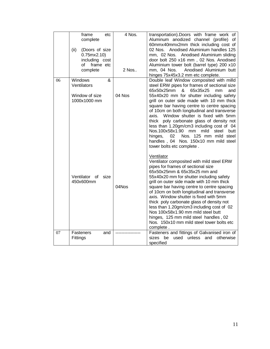|    | frame<br>etc<br>complete<br>(ii)<br>(Doors of size<br>0.75mx2.10<br>including cost<br>frame etc<br>of<br>complete | 4 Nos.<br>2 Nos | transportation). Doors with frame work of<br>Aluminum anodized channel (profile) of<br>60mmx40mmx2mm thick including cost of<br>02 Nos. Anodised Aluminium handles 125<br>mm, 02 Nos. Anodised Aluminium sliding<br>door bolt 250 x16 mm, 02 Nos. Anodised<br>Aluminium tower bolt (barrel type) 200 x10<br>Anodised Aluminium butt<br>mm, 04 Nos.<br>hinges 75x45x3.2 mm etc complete.                                                                                                                                                                                                                                           |
|----|-------------------------------------------------------------------------------------------------------------------|-----------------|-----------------------------------------------------------------------------------------------------------------------------------------------------------------------------------------------------------------------------------------------------------------------------------------------------------------------------------------------------------------------------------------------------------------------------------------------------------------------------------------------------------------------------------------------------------------------------------------------------------------------------------|
| 06 | <b>Windows</b><br>&<br>Ventilators<br>Window of size<br>1000x1000 mm                                              | 04 Nos          | Double leaf Window composited with milld<br>steel ERW pipes for frames of sectional size<br>65x50x25mm<br>&<br>65x35x25<br>and<br>mm<br>55x40x20 mm for shutter including safety<br>grill on outer side made with 10 mm thick<br>square bar having centre to centre spacing<br>of 10cm on both longitudinal and transverse<br>Window shutter is fixed with 5mm<br>axis.<br>thick poly carbonate glass of density not<br>less than 1.20gm/cm3 including cost of 04<br>Nos.100x58x1.90 mm<br>mild<br>steel<br>butt<br>Nos. 125 mm mild steel<br>hinges,<br>02<br>handles, 04 Nos. 150x10 mm mild steel<br>tower bolts etc complete. |
|    | Ventilator of<br>size<br>450x600mm                                                                                | 04Nos           | Ventilator<br>Ventilator composited with mild steel ERW<br>pipes for frames of sectional size<br>65x50x25mm & 65x35x25 mm and<br>55x40x20 mm for shutter including safety<br>grill on outer side made with 10 mm thick<br>square bar having centre to centre spacing<br>of 10cm on both longitudinal and transverse<br>axis. Window shutter is fixed with 5mm<br>thick poly carbonate glass of density not<br>less than 1.20gm/cm3 including cost of 02<br>Nos 100x58x1.90 mm mild steel butt<br>hinges, 125 mm mild steel handles, 02<br>Nos. 150x10 mm mild steel tower bolts etc<br>complete.                                  |
| 07 | Fasteners<br>and<br>Fittings                                                                                      |                 | Fasteners and fittings of Galvanised iron of<br>used<br>unless<br>and<br>otherwise<br>sizes<br>be<br>specified                                                                                                                                                                                                                                                                                                                                                                                                                                                                                                                    |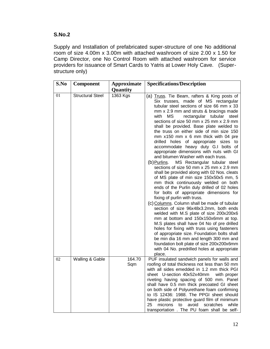### **S.No.2**

Supply and Installation of prefabricated super-structure of one No additional room of size 4.00m x 3.00m with attached washroom of size 2.00 x 1.50 for Camp Director, one No Control Room with attached washroom for service providers for issuance of Smart Cards to Yatris at Lower Holy Cave. (Superstructure only)

| S.No | Component               | Approximate   | <b>Specifications/Description</b>                                                                                                                                                                                                                                                                                                                                                                                                                                                                                                                                                                                                                                                                                                                                                                                                                                                                                                                                                                                                                                                                                                                                                                                                                                                                                                                                                                              |
|------|-------------------------|---------------|----------------------------------------------------------------------------------------------------------------------------------------------------------------------------------------------------------------------------------------------------------------------------------------------------------------------------------------------------------------------------------------------------------------------------------------------------------------------------------------------------------------------------------------------------------------------------------------------------------------------------------------------------------------------------------------------------------------------------------------------------------------------------------------------------------------------------------------------------------------------------------------------------------------------------------------------------------------------------------------------------------------------------------------------------------------------------------------------------------------------------------------------------------------------------------------------------------------------------------------------------------------------------------------------------------------------------------------------------------------------------------------------------------------|
|      |                         | Quantity      |                                                                                                                                                                                                                                                                                                                                                                                                                                                                                                                                                                                                                                                                                                                                                                                                                                                                                                                                                                                                                                                                                                                                                                                                                                                                                                                                                                                                                |
| 01   | <b>Structural Steel</b> | 1363 Kgs      | (a) Truss. Tie Beam, rafters & King posts of<br>Six trusses, made of MS rectangular<br>tubular steel sections of size 66 mm x 33<br>mm x 2.9 mm and struts & bracings made<br>rectangular tubular<br>with<br>MS<br>steel<br>sections of size 50 mm x 25 mm x 2.9 mm<br>shall be provided. Base plate welded to<br>the truss on either side of min size 150<br>mm x150 mm x 6 mm thick with 04 pre<br>drilled holes of appropriate<br>sizes to<br>accommodate heavy duty G.I bolts of<br>appropriate dimensions with nuts with GI<br>and bitumen Washer with each truss.<br>MS Rectangular tubular steel<br>(b) <u>Purlins</u> .<br>sections of size 50 mm x 25 mm x 2.9 mm<br>shall be provided along with 02 Nos. cleats<br>of MS plate of min size 150x50x5 mm, 5<br>mm thick continuously welded on both<br>ends of the Purlin duly drilled of 02 holes<br>for bolts of appropriate dimensions for<br>fixing of purlin with truss.<br>(c) Columns. Column shall be made of tubular<br>section of size 96x48x3.2mm, both ends<br>welded with M.S plate of size 200x200x6<br>mm at bottom and 150x150x6mm at top.<br>M.S plates shall have 04 No of pre drilled<br>holes for fixing with truss using fasteners<br>of appropriate size. Foundation bolts shall<br>be min dia 16 mm and length 300 mm and<br>foundation bolt plate of size 200x200x6mm<br>with 04 No. predrilled holes at appropriate<br>place. |
| 02   | Walling & Gable         | 164.70<br>Sqm | PUF insulated sandwich panels for walls and<br>roofing of total thickness not less than 50 mm<br>with all sides emedded in 1.2 mm thick PGI<br>sheet U-section 40x52x40mm<br>with proper<br>riveting having spacing of 500 mm. Panel<br>shall have 0.5 mm thick precoated GI sheet<br>on both side of Polyurethane foam confirming<br>to IS 12436: 1988. The PPGI sheet should<br>have plastic protective guard film of minimum<br>25<br>microns<br>avoid<br>scratches<br>while<br>to<br>transportation . The PU foam shall be self-                                                                                                                                                                                                                                                                                                                                                                                                                                                                                                                                                                                                                                                                                                                                                                                                                                                                           |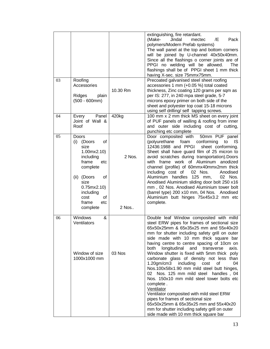|    |                                                                                                                                                                                                      |                 | extinguishing, fire retardant.<br>Jindal<br>(Make-<br>mectec<br>/E<br>Pack<br>polymers/Modern Prefab systems)<br>The wall panel at the top and bottom corners<br>will be joined by U-channel 40x50x40mm.<br>Since all the flashings o corner joints are of<br>PPGI no welding will be allowed.<br>The<br>flashings shall be of PPGI sheet 1 mm thick<br>having X-sec. size 75mmx75mm.                                                                                                                                                                                                                                                                                                                                                                                                                                                                            |
|----|------------------------------------------------------------------------------------------------------------------------------------------------------------------------------------------------------|-----------------|------------------------------------------------------------------------------------------------------------------------------------------------------------------------------------------------------------------------------------------------------------------------------------------------------------------------------------------------------------------------------------------------------------------------------------------------------------------------------------------------------------------------------------------------------------------------------------------------------------------------------------------------------------------------------------------------------------------------------------------------------------------------------------------------------------------------------------------------------------------|
| 03 | Roofing<br>Accessories<br>Ridges<br>plain<br>$(500 - 600mm)$                                                                                                                                         | 10.30 Rm        | Precoated galvanised steel sheet roofing<br>accessories 1 mm (+0.05 %) total coated<br>thickness, Zinc coating 120 grams per sqm as<br>per IS: 277, in 240 mpa steel grade, 5-7<br>microns epoxy primer on both side of the<br>sheet and polyester top coat 15-18 microns<br>using self drilling/ self tapping screws.                                                                                                                                                                                                                                                                                                                                                                                                                                                                                                                                           |
| 04 | Panel<br>Every<br>Joint of Wall &<br>Roof                                                                                                                                                            | 420kg           | 100 mm x 2 mm thick MS sheet on every joint<br>of PUF panels of walling & roofing from inner<br>and outer side including cost of cutting,<br>punching etc complete                                                                                                                                                                                                                                                                                                                                                                                                                                                                                                                                                                                                                                                                                               |
| 05 | <b>Doors</b><br>οf<br>(i)<br>(Doors<br>size<br>1.00mx2.10<br>including<br>frame<br>etc<br>complete<br>(ii) (Doors<br>of<br>size<br>0.75mx2.10<br>including<br>οf<br>cost<br>frame<br>etc<br>complete | 2 Nos.<br>2 Nos | Door composited with 50mm PUF panel<br>(polyurethane foam conforming<br>IS.<br>to<br>12436:1988 and PPGI<br>sheet conforming.<br>Sheet shall have guard film of 25 micron to<br>avoid scratches during transportation). Doors<br>with frame work of Aluminum<br>anodized<br>channel (profile) of 60mmx40mmx2mm thick<br>including cost of<br>02 Nos.<br>Anodised<br>Aluminium handles 125 mm,<br>02 Nos.<br>Anodised Aluminium sliding door bolt 250 x16<br>mm, 02 Nos. Anodised Aluminium tower bolt<br>(barrel type) 200 x10 mm, 04 Nos. Anodised<br>Aluminium butt hinges 75x45x3.2 mm etc<br>complete.                                                                                                                                                                                                                                                       |
| 06 | Windows<br>&<br>Ventilators<br>Window of size<br>1000x1000 mm                                                                                                                                        | 03 Nos          | Double leaf Window composited with milld<br>steel ERW pipes for frames of sectional size<br>65x50x25mm & 65x35x25 mm and 55x40x20<br>mm for shutter including safety grill on outer<br>side made with 10 mm thick square bar<br>having centre to centre spacing of 10cm on<br>longitudinal<br>and<br>transverse<br>axis.<br>both<br>Window shutter is fixed with 5mm thick poly<br>carbonate glass of density not less than<br>1.20gm/cm3 including<br>cost<br>οf<br>04<br>Nos.100x58x1.90 mm mild steel butt hinges,<br>Nos. 125 mm mild steel handles, 04<br>02<br>Nos. 150x10 mm mild steel tower bolts etc<br>complete.<br>Ventilator<br>Ventilator composited with mild steel ERW<br>pipes for frames of sectional size<br>65x50x25mm & 65x35x25 mm and 55x40x20<br>mm for shutter including safety grill on outer<br>side made with 10 mm thick square bar |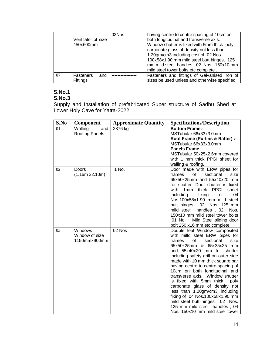|    | Ventilator of size<br>450x600mm | 02Nos | having centre to centre spacing of 10cm on<br>both longitudinal and transverse axis.<br>Window shutter is fixed with 5mm thick poly<br>carbonate glass of density not less than<br>1.20gm/cm3 including cost of 02 Nos<br>100x58x1.90 mm mild steel butt hinges, 125<br>mm mild steel handles, 02 Nos. 150x10 mm<br>mild steel tower bolts etc complete. |
|----|---------------------------------|-------|----------------------------------------------------------------------------------------------------------------------------------------------------------------------------------------------------------------------------------------------------------------------------------------------------------------------------------------------------------|
| 07 | and<br>Fasteners<br>Fittings    |       | Fasteners and fittings of Galvanised iron of<br>sizes be used unless and otherwise specified                                                                                                                                                                                                                                                             |

#### **S.No.1 S.No.3**

Supply and Installation of prefabricated Super structure of Sadhu Shed at Lower Holy Cave for Yatra-2022

| S.No | <b>Component</b>                                 | <b>Approximate Quantity</b> | <b>Specifications/Description</b>                                                                                                                                                                                                                                                                                                                                                                                                                                                                                                                                                                      |
|------|--------------------------------------------------|-----------------------------|--------------------------------------------------------------------------------------------------------------------------------------------------------------------------------------------------------------------------------------------------------------------------------------------------------------------------------------------------------------------------------------------------------------------------------------------------------------------------------------------------------------------------------------------------------------------------------------------------------|
| 01   | Walling<br>and<br>Roofing Panels                 | 2376 kg                     | <b>Bottom Frame:-</b><br>MSTubular 66x33x3.0mm<br>Roof Frame (Purlins & Rafter) :-<br>MSTubular 66x33x3.0mm<br><b>Panels Frame</b><br>MSTubular 50x25x2.6mm covered<br>with 1 mm thick PPGI sheet for<br>walling & roofing.                                                                                                                                                                                                                                                                                                                                                                            |
| 02   | Doors<br>(1.15m x2.10m)                          | 1 No.                       | Door made with ERW pipes for<br>frames<br>of<br>sectional<br>size<br>65x50x25mm and 55x40x20 mm<br>for shutter. Door shutter is fixed<br>with 1mm<br>thick PPGI<br>sheet<br>04<br>including<br>fixing<br>οf<br>Nos.100x58x1.90 mm mild steel<br>butt hinges, 02 Nos. 125 mm<br>mild steel handles, 02<br>Nos.<br>150x10 mm mild steel tower bolts<br>,01 No.<br>Mild Steel sliding door<br>bolt 250 x16 mm etc complete.                                                                                                                                                                               |
| 03   | <b>Windows</b><br>Window of size<br>1150mmx900mm | 02 Nos                      | Double leaf Window composited<br>with milld steel ERW pipes for<br>frames<br>of<br>sectional<br>size<br>65x50x25mm & 65x35x25 mm<br>and 55x40x20 mm for shutter<br>including safety grill on outer side<br>made with 10 mm thick square bar<br>having centre to centre spacing of<br>10cm on both longitudinal and<br>transverse axis. Window shutter<br>is fixed with 5mm thick<br>poly<br>carbonate glass of density not<br>less than 1.20gm/cm3 including<br>fixing of 04 Nos.100x58x1.90 mm<br>mild steel butt hinges, 02 Nos.<br>125 mm mild steel handles, 04<br>Nos. 150x10 mm mild steel tower |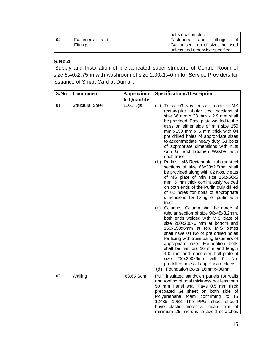|    |           |     | bolts etc complete.              |
|----|-----------|-----|----------------------------------|
| 04 | Fasteners | and | fittings<br>Fasteners<br>and     |
|    | Fittings  |     | Galvanised iron of sizes be used |
|    |           |     | unless and otherwise specified   |

# **S.No.4**

Supply and Installation of prefabricated super-structure of Control Room of size 5.40x2.75 m with washroom of size 2.00x1.40 m for Service Providers for issuance of Smart Card at Dumail.

| S.No | <b>Component</b>        | Approxima   | <b>Specifications/Description</b>                                                                                                                                                                                                                                                                                                                                                                                                                                                                               |
|------|-------------------------|-------------|-----------------------------------------------------------------------------------------------------------------------------------------------------------------------------------------------------------------------------------------------------------------------------------------------------------------------------------------------------------------------------------------------------------------------------------------------------------------------------------------------------------------|
|      |                         | te Quantity |                                                                                                                                                                                                                                                                                                                                                                                                                                                                                                                 |
| 01   | <b>Structural Steel</b> | 1161 Kgs    | (a) Truss. 03 Nos. trusses made of MS<br>rectangular tubular steel sections of<br>size 66 mm x 33 mm x 2.9 mm shall<br>be provided. Base plate welded to the<br>truss on either side of min size 150<br>mm $x150$ mm $x$ 6 mm thick with 04<br>pre drilled holes of appropriate sizes<br>to accommodate heavy duty G.I bolts<br>of appropriate dimensions with nuts<br>with GI and bitumen Washer with<br>each truss.                                                                                           |
|      |                         |             | (b) Purlins. MS Rectangular tubular steel<br>sections of size 66x33x2.9mm shall<br>be provided along with 02 Nos. cleats<br>of MS plate of min size 150x50x5<br>mm, 5 mm thick continuously welded<br>on both ends of the Purlin duly drilled<br>of 02 holes for bolts of appropriate<br>dimensions for fixing of purlin with<br>truss.                                                                                                                                                                         |
|      |                         |             | (c) Columns. Column shall be made of<br>tubular section of size 96x48x3.2mm,<br>both ends welded with M.S plate of<br>size 200x200x6 mm at bottom and<br>150x150x6mm at top. M.S plates<br>shall have 04 No of pre drilled holes<br>for fixing with truss using fasteners of<br>appropriate size. Foundation bolts<br>shall be min dia 16 mm and length<br>400 mm and foundation bolt plate of<br>200x200x6mm with 04 No.<br>size<br>predrilled holes at appropriate place.<br>(d) Foundation Bolts: 16mmx400mm |
| 02   | Walling                 | 63.65 Sqm   | PUF insulated sandwich panels for walls<br>and roofing of total thickness not less than<br>50 mm Panel shall have 0.5 mm thick<br>precoated GI sheet on both side of<br>confirming<br>Polyurethane foam<br>to<br>IS<br>12436: 1988. The PPGI sheet should<br>have plastic protective guard film of<br>minimum 25 microns to avoid scratches                                                                                                                                                                     |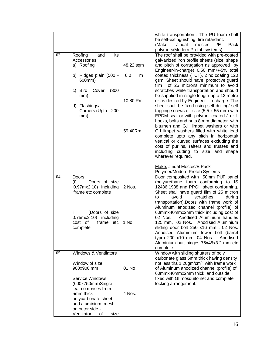|    |                                                                                          |           | while transportation. The PU foam shall<br>be self-extinguishing, fire retardant.<br>Jindal<br>(Make-<br>mectec<br>/E<br>Pack<br>polymers/Modern Prefab systems)                                                                                                                                                                                                               |
|----|------------------------------------------------------------------------------------------|-----------|--------------------------------------------------------------------------------------------------------------------------------------------------------------------------------------------------------------------------------------------------------------------------------------------------------------------------------------------------------------------------------|
| 03 | Roofing<br>its<br>and<br>Accessories<br>a) Roofing                                       | 48.22 sqm | The roof shall be provided with pre-coated<br>galvanized iron profile sheets (size, shape<br>and pitch of corrugation as approved by<br>Engineer-in-charge) 0.50 mm+/-5% total                                                                                                                                                                                                 |
|    | b) Ridges plain (500 -<br>600mm)<br>c) Bird<br>Cover<br>(300)                            | 6.0<br>m  | coated thickness (TCT), Zinc coating 120<br>gsm. Sheet should have protective guard<br>of 25 microns minimum to avoid<br>film<br>scratches while transportation and should                                                                                                                                                                                                     |
|    | mm)<br>d) Flashings/<br>Corners.(Upto<br>200                                             | 10.80 Rm  | be supplied in single length upto 12 metre<br>or as desired by Engineer -in-charge. The<br>sheet shall be fixed using self drilling/ self<br>tapping screws of size $(5.5 \times 55 \text{ mm})$ with                                                                                                                                                                          |
|    | $mm$ -                                                                                   | 59.40Rm   | EPDM seal or with polymer coated J or L<br>hooks, bolts and nuts 8 mm diameter with<br>bitumen and G.I. limpet washers or with<br>G.I limpet washers filled with white lead<br>complete upto any pitch in horizontal/<br>vertical or curved surfaces excluding the<br>cost of purlins, rafters and trusses and<br>including cutting to size and<br>shape<br>wherever required. |
|    |                                                                                          |           | Make: Jindal Mectec/E Pack<br>Polymer/Modern Prefab Systems                                                                                                                                                                                                                                                                                                                    |
| 04 | Doors<br>(i)<br>Doors of size<br>0.97mx2.10) including<br>frame etc complete             | 2 Nos.    | Door composited with 50mm PUF panel<br>(polyurethane foam conforming to IS<br>12436:1988 and PPGI sheet conforming.<br>Sheet shall have guard film of 25 micron<br>scratches<br>to<br>avoid<br>during<br>transportation). Doors with frame work of                                                                                                                             |
|    | ii.<br>(Doors of size<br>$0.75mx2.10$ including<br>cost of<br>frame etc<br>complete      | 1 No.     | Aluminum anodized channel (profile) of<br>60mmx40mmx2mm thick including cost of<br>Anodised Aluminium handles<br>02 Nos.<br>125 mm, 02 Nos. Anodised Aluminium<br>sliding door bolt 250 x16 mm, 02 Nos.<br>Anodised Aluminium tower bolt (barrel<br>type) 200 x10 mm, 04 Nos. Anodised<br>Aluminium butt hinges 75x45x3.2 mm etc<br>complete.                                  |
| 05 | Windows & Ventilators<br>Window of size<br>900x900 mm                                    | 01 No     | Window with sliding shutters of poly<br>carbonate glass 5mm thick having density<br>not less tha 1.20gm/cm <sup>3</sup> with frame work<br>of Aluminum anodized channel (profile) of<br>60mmx40mmx2mm thick and outside                                                                                                                                                        |
|    | Service Windows<br>(600x750mm)Single<br>leaf comprises from<br>5mm thick                 | 4 Nos.    | fixed with GI mosquito net and complete<br>locking arrangement.                                                                                                                                                                                                                                                                                                                |
|    | polycarbonate sheet<br>and aluminium mesh<br>on outer side.-<br>Ventilator<br>οf<br>size |           |                                                                                                                                                                                                                                                                                                                                                                                |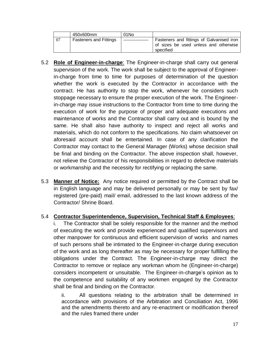|    | 450x600mm                     | 01 No |                                                                                                 |
|----|-------------------------------|-------|-------------------------------------------------------------------------------------------------|
| 07 | <b>Fasteners and Fittings</b> |       | Fasteners and fittings of Galvanised iron<br>of sizes be used unless and otherwise<br>specified |

- 5.2 **Role of Engineer-in-charge**: The Engineer-in-charge shall carry out general supervision of the work. The work shall be subject to the approval of Engineerin-charge from time to time for purposes of determination of the question whether the work is executed by the Contractor in accordance with the contract. He has authority to stop the work, whenever he considers such stoppage necessary to ensure the proper execution of the work. The Engineerin-charge may issue instructions to the Contractor from time to time during the execution of work for the purpose of proper and adequate executions and maintenance of works and the Contractor shall carry out and is bound by the same. He shall also have authority to inspect and reject all works and materials, which do not conform to the specifications. No claim whatsoever on aforesaid account shall be entertained. In case of any clarification the Contractor may contact to the General Manager (Works) whose decision shall be final and binding on the Contractor. The above inspection shall, however, not relieve the Contractor of his responsibilities in regard to defective materials or workmanship and the necessity for rectifying or replacing the same.
- 5.3 **Manner of Notice:** Any notice required or permitted by the Contract shall be in English language and may be delivered personally or may be sent by fax/ registered (pre-paid) mail/ email, addressed to the last known address of the Contractor/ Shrine Board.

# 5.4 **Contractor Superintendence, Supervision, Technical Staff & Employees**:

i. The Contractor shall be solely responsible for the manner and the method of executing the work and provide experienced and qualified supervisors and other manpower for continuous and efficient supervision of works and names of such persons shall be intimated to the Engineer-in-charge during execution of the work and as long thereafter as may be necessary for proper fulfilling the obligations under the Contract. The Engineer-in-charge may direct the Contractor to remove or replace any workman whom he (Engineer-in-charge) considers incompetent or unsuitable. The Engineer-in-charge's opinion as to the competence and suitability of any workmen engaged by the Contractor shall be final and binding on the Contractor.

ii. All questions relating to the arbitration shall be determined in accordance with provisions of the Arbitration and Conciliation Act, 1996 and the amendments thereto and any re-enactment or modification thereof and the rules framed there under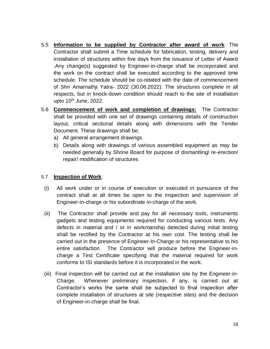- 5.5 **Information to be supplied by Contractor after award of work**: The Contractor shall submit a Time schedule for fabrication, testing, delivery and installation of structures within five days from the issuance of Letter of Award .Any change(s) suggested by Engineer-in-charge shall be incorporated and the work on the contract shall be executed according to the approved time schedule. The schedule should be co-related with the date of commencement of Shri Amarnathji Yatra- 2022 (30.06.2022). The structures complete in all respects, but in knock-down condition should reach to the site of installation upto  $10<sup>th</sup>$  June, 2022.
- 5.6 **Commencement of work and completion of drawings:** The Contractor shall be provided with one set of drawings containing details of construction layout, critical sectional details along with dimensions with the Tender Document. These drawings shall be;
	- a) All general arrangement drawings.
	- b) Details along with drawings of various assembled equipment as may be needed generally by Shrine Board for purpose of dismantling/ re-erection/ repair/ modification of structures

#### 5.7 **Inspection of Work**:

- (i) All work under or in course of execution or executed in pursuance of the contract shall at all times be open to the inspection and supervision of Engineer-in-charge or his subordinate in-charge of the work.
- (ii) The Contractor shall provide and pay for all necessary tools, instruments gadgets and testing equipments required for conducting various tests. Any defects in material and / or in workmanship detected during initial testing shall be rectified by the Contractor at his own cost. The testing shall be carried out in the presence of Engineer-In-Charge or his representative to his entire satisfaction. The Contractor will produce before the Engineer-incharge a Test Certificate specifying that the material required for work conforms to ISI standards before it is incorporated in the work.
- (iii) Final inspection will be carried out at the installation site by the Engineer-in-Charge. Whenever preliminary inspection, if any, is carried out at Contractor's works the same shall be subjected to final inspection after complete installation of structures at site (respective sites) and the decision of Engineer-in-charge shall be final.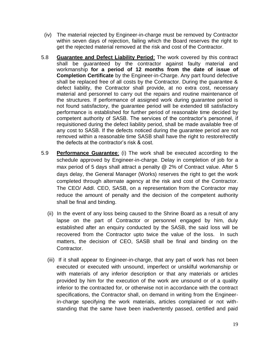- (iv) The material rejected by Engineer-in-charge must be removed by Contractor within seven days of rejection, failing which the Board reserves the right to get the rejected material removed at the risk and cost of the Contractor.
- 5.8 **Guarantee and Defect Liability Period**: The work covered by this contract shall be guaranteed by the contractor against faulty material and workmanship **for a period of 12 months from the date of issue of Completion Certificate** by the Engineer-in-Charge. Any part found defective shall be replaced free of all costs by the Contractor. During the guarantee & defect liability, the Contractor shall provide, at no extra cost, necessary material and personnel to carry out the repairs and routine maintenance of the structures. If performance of assigned work during guarantee period is not found satisfactory, the guarantee period will be extended till satisfactory performance is established for further period of reasonable time decided by competent authority of SASB. The services of the contractor's personnel, if requisitioned during the defect liability period, shall be made available free of any cost to SASB. If the defects noticed during the guarantee period are not removed within a reasonable time SASB shall have the right to restore/rectify the defects at the contractor's risk & cost.
- 5.9 **Performance Guarantee**: (i) The work shall be executed according to the schedule approved by Engineer-in-charge. Delay in completion of job for a max period of 5 days shall attract a penalty @ 2% of Contract value. After 5 days delay, the General Manager (Works) reserves the right to get the work completed through alternate agency at the risk and cost of the Contractor. The CEO/ Addl. CEO, SASB, on a representation from the Contractor may reduce the amount of penalty and the decision of the competent authority shall be final and binding.
	- (ii) In the event of any loss being caused to the Shrine Board as a result of any lapse on the part of Contractor or personnel engaged by him, duly established after an enquiry conducted by the SASB, the said loss will be recovered from the Contractor upto twice the value of the loss. In such matters, the decision of CEO, SASB shall be final and binding on the Contractor.
	- (iii) If it shall appear to Engineer-in-charge, that any part of work has not been executed or executed with unsound, imperfect or unskilful workmanship or with materials of any inferior description or that any materials or articles provided by him for the execution of the work are unsound or of a quality inferior to the contracted for, or otherwise not in accordance with the contract specifications, the Contractor shall, on demand in writing from the Engineerin-charge specifying the work materials, articles complained or not withstanding that the same have been inadvertently passed, certified and paid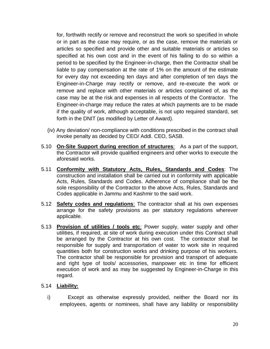for, forthwith rectify or remove and reconstruct the work so specified in whole or in part as the case may require, or as the case, remove the materials or articles so specified and provide other and suitable materials or articles so specified at his own cost and in the event of his failing to do so within a period to be specified by the Engineer-in-charge, then the Contractor shall be liable to pay compensation at the rate of 1% on the amount of the estimate for every day not exceeding ten days and after completion of ten days the Engineer-in-Charge may rectify or remove, and re-execute the work or remove and replace with other materials or articles complained of, as the case may be at the risk and expenses in all respects of the Contractor. The Engineer-in-charge may reduce the rates at which payments are to be made if the quality of work, although acceptable, is not upto required standard, set forth in the DNIT (as modified by Letter of Award).

- (iv) Any deviation/ non-compliance with conditions prescribed in the contract shall invoke penalty as decided by CEO/ Addl. CEO, SASB.
- 5.10 **On-Site Support during erection of structures**: As a part of the support, the Contractor will provide qualified engineers and other works to execute the aforesaid works.
- 5.11 **Conformity with Statutory Acts, Rules, Standards and Codes**: The construction and installation shall be carried out in conformity with applicable Acts, Rules, Standards and Codes. Adherence of compliance shall be the sole responsibility of the Contractor to the above Acts, Rules, Standards and Codes applicable in Jammu and Kashmir to the said work.
- 5.12 **Safety codes and regulations**: The contractor shall at his own expenses arrange for the safety provisions as per statutory regulations wherever applicable.
- 5.13 **Provision of utilities / tools etc**: Power supply, water supply and other utilities, if required, at site of work during execution under this Contract shall be arranged by the Contractor at his own cost. The contractor shall be responsible for supply and transportation of water to work site in required quantities both for construction works and drinking purpose of his workers. The contractor shall be responsible for provision and transport of adequate and right type of tools/ accessories, manpower etc in time for efficient execution of work and as may be suggested by Engineer-in-Charge in this regard.

#### 5.14 **Liability:**

i) Except as otherwise expressly provided, neither the Board nor its employees, agents or nominees, shall have any liability or responsibility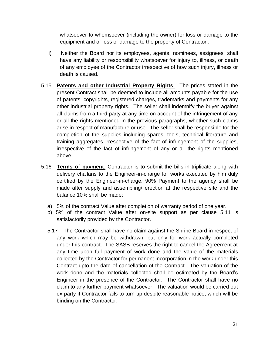whatsoever to whomsoever (including the owner) for loss or damage to the equipment and or loss or damage to the property of Contractor .

- ii) Neither the Board nor its employees, agents, nominees, assignees, shall have any liability or responsibility whatsoever for injury to, illness, or death of any employee of the Contractor irrespective of how such injury, illness or death is caused.
- 5.15 **Patents and other Industrial Property Rights**: The prices stated in the present Contract shall be deemed to include all amounts payable for the use of patents, copyrights, registered charges, trademarks and payments for any other industrial property rights. The seller shall indemnify the buyer against all claims from a third party at any time on account of the infringement of any or all the rights mentioned in the previous paragraphs, whether such claims arise in respect of manufacture or use. The seller shall be responsible for the completion of the supplies including spares, tools, technical literature and training aggregates irrespective of the fact of infringement of the supplies, irrespective of the fact of infringement of any or all the rights mentioned above.
- 5.16 **Terms of payment**: Contractor is to submit the bills in triplicate along with delivery challans to the Engineer-in-charge for works executed by him duly certified by the Engineer-in-charge. 90% Payment to the agency shall be made after supply and assembling/ erection at the respective site and the balance 10% shall be made;
	- a) 5% of the contract Value after completion of warranty period of one year.
	- b) 5% of the contract Value after on-site support as per clause 5.11 is satisfactorily provided by the Contractor.
	- 5.17 The Contractor shall have no claim against the Shrine Board in respect of any work which may be withdrawn, but only for work actually completed under this contract. The SASB reserves the right to cancel the Agreement at any time upon full payment of work done and the value of the materials collected by the Contractor for permanent incorporation in the work under this Contract upto the date of cancellation of the Contract. The valuation of the work done and the materials collected shall be estimated by the Board's Engineer in the presence of the Contractor. The Contractor shall have no claim to any further payment whatsoever. The valuation would be carried out ex-party if Contractor fails to turn up despite reasonable notice, which will be binding on the Contractor.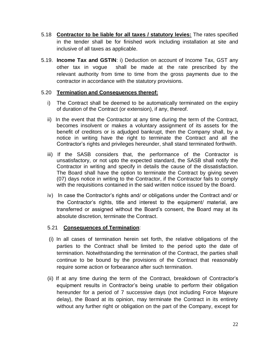- 5.18 **Contractor to be liable for all taxes / statutory levies:** The rates specified in the tender shall be for finished work including installation at site and inclusive of all taxes as applicable.
- 5.19. **Income Tax and GSTIN**: i) Deduction on account of Income Tax, GST any other tax in vogue shall be made at the rate prescribed by the relevant authority from time to time from the gross payments due to the contractor in accordance with the statutory provisions.

### 5.20 **Termination and Consequences thereof:**

- i) The Contract shall be deemed to be automatically terminated on the expiry of duration of the Contract (or extension), if any, thereof.
- ii) In the event that the Contractor at any time during the term of the Contract, becomes insolvent or makes a voluntary assignment of its assets for the benefit of creditors or is adjudged bankrupt, then the Company shall, by a notice in writing have the right to terminate the Contract and all the Contractor's rights and privileges hereunder, shall stand terminated forthwith.
- iii) If the SASB considers that, the performance of the Contractor is unsatisfactory, or not upto the expected standard, the SASB shall notify the Contractor in writing and specify in details the cause of the dissatisfaction. The Board shall have the option to terminate the Contract by giving seven (07) days notice in writing to the Contractor, if the Contractor fails to comply with the requisitions contained in the said written notice issued by the Board.
- iv) In case the Contractor's rights and/ or obligations under the Contract and/ or the Contractor's rights, title and interest to the equipment/ material, are transferred or assigned without the Board's consent, the Board may at its absolute discretion, terminate the Contract.

# 5.21 **Consequences of Termination**:

- (i) In all cases of termination herein set forth, the relative obligations of the parties to the Contract shall be limited to the period upto the date of termination. Notwithstanding the termination of the Contract, the parties shall continue to be bound by the provisions of the Contract that reasonably require some action or forbearance after such termination.
- (ii) If at any time during the term of the Contract, breakdown of Contractor's equipment results in Contractor's being unable to perform their obligation hereunder for a period of 7 successive days (not including Force Majeure delay), the Board at its opinion, may terminate the Contract in its entirety without any further right or obligation on the part of the Company, except for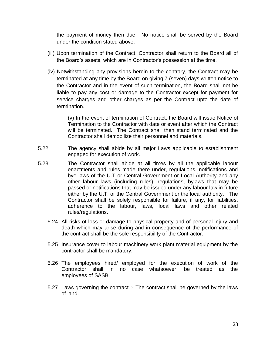the payment of money then due. No notice shall be served by the Board under the condition stated above.

- (iii) Upon termination of the Contract, Contractor shall return to the Board all of the Board's assets, which are in Contractor's possession at the time.
- (iv) Notwithstanding any provisions herein to the contrary, the Contract may be terminated at any time by the Board on giving 7 (seven) days written notice to the Contractor and in the event of such termination, the Board shall not be liable to pay any cost or damage to the Contractor except for payment for service charges and other charges as per the Contract upto the date of termination.

(v) In the event of termination of Contract, the Board will issue Notice of Termination to the Contractor with date or event after which the Contract will be terminated. The Contract shall then stand terminated and the Contractor shall demobilize their personnel and materials.

- 5.22 The agency shall abide by all major Laws applicable to establishment engaged for execution of work.
- 5.23 The Contractor shall abide at all times by all the applicable labour enactments and rules made there under, regulations, notifications and bye laws of the U.T or Central Government or Local Authority and any other labour laws (including rules), regulations, bylaws that may be passed or notifications that may be issued under any labour law in future either by the U.T. or the Central Government or the local authority. The Contractor shall be solely responsible for failure, if any, for liabilities, adherence to the labour, laws, local laws and other related rules/regulations.
	- 5.24 All risks of loss or damage to physical property and of personal injury and death which may arise during and in consequence of the performance of the contract shall be the sole responsibility of the Contractor.
	- 5.25 Insurance cover to labour machinery work plant material equipment by the contractor shall be mandatory.
	- 5.26 The employees hired/ employed for the execution of work of the Contractor shall in no case whatsoever, be treated as the employees of SASB.
	- 5.27 Laws governing the contract :- The contract shall be governed by the laws of land.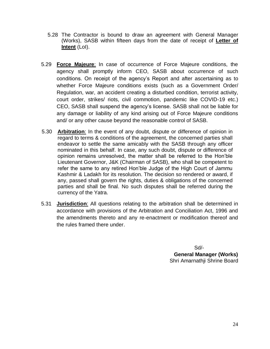- 5.28 The Contractor is bound to draw an agreement with General Manager (Works), SASB within fifteen days from the date of receipt of **Letter of Intent** (LoI).
- 5.29 **Force Majeure**: In case of occurrence of Force Majeure conditions, the agency shall promptly inform CEO, SASB about occurrence of such conditions. On receipt of the agency's Report and after ascertaining as to whether Force Majeure conditions exists (such as a Government Order/ Regulation, war, an accident creating a disturbed condition, terrorist activity, court order, strikes/ riots, civil commotion, pandemic like COVID-19 etc.) CEO, SASB shall suspend the agency's license. SASB shall not be liable for any damage or liability of any kind arising out of Force Majeure conditions and/ or any other cause beyond the reasonable control of SASB.
- 5.30 **Arbitration**: In the event of any doubt, dispute or difference of opinion in regard to terms & conditions of the agreement, the concerned parties shall endeavor to settle the same amicably with the SASB through any officer nominated in this behalf. In case, any such doubt, dispute or difference of opinion remains unresolved, the matter shall be referred to the Hon'ble Lieutenant Governor, J&K (Chairman of SASB), who shall be competent to refer the same to any retired Hon'ble Judge of the High Court of Jammu Kashmir & Ladakh for its resolution. The decision so rendered or award, if any, passed shall govern the rights, duties & obligations of the concerned parties and shall be final. No such disputes shall be referred during the currency of the Yatra.
- 5.31 **Jurisdiction**: All questions relating to the arbitration shall be determined in accordance with provisions of the Arbitration and Conciliation Act, 1996 and the amendments thereto and any re-enactment or modification thereof and the rules framed there under.

 $S$ d/- $S$ d/- $S$ 

**General Manager (Works)** Shri Amarnathji Shrine Board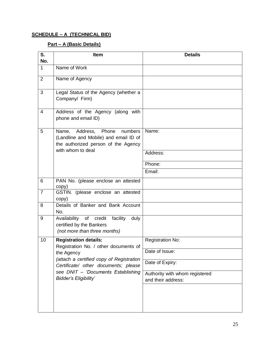### **SCHEDULE – A (TECHNICAL BID)**

# **Part – A (Basic Details)**

| S.<br>No.      | <b>Item</b>                                                                                                                          | <b>Details</b>                                       |
|----------------|--------------------------------------------------------------------------------------------------------------------------------------|------------------------------------------------------|
| 1              | Name of Work                                                                                                                         |                                                      |
| 2              | Name of Agency                                                                                                                       |                                                      |
| 3              | Legal Status of the Agency (whether a<br>Company/ Firm)                                                                              |                                                      |
| 4              | Address of the Agency (along with<br>phone and email ID)                                                                             |                                                      |
| 5              | Name, Address, Phone<br>numbers<br>(Landline and Mobile) and email ID of<br>the authorized person of the Agency<br>with whom to deal | Name:                                                |
|                |                                                                                                                                      | Address:                                             |
|                |                                                                                                                                      | Phone:                                               |
|                |                                                                                                                                      | Email:                                               |
| 6              | PAN No. (please enclose an attested<br>copy)                                                                                         |                                                      |
| $\overline{7}$ | GSTIN. (please enclose an attested<br>copy)                                                                                          |                                                      |
| 8              | Details of Banker and Bank Account<br>No.                                                                                            |                                                      |
| 9              | Availability of credit facility duly<br>certified by the Bankers<br>(not more than three months)                                     |                                                      |
| 10             | <b>Registration details:</b><br>Registration No. / other documents of                                                                | <b>Registration No:</b>                              |
|                | the Agency                                                                                                                           | Date of Issue:                                       |
|                | (attach a certified copy of Registration<br>Certificate/ other documents; please                                                     | Date of Expiry:                                      |
|                | see DNIT - 'Documents Establishing<br><b>Bidder's Eligibility'</b>                                                                   | Authority with whom registered<br>and their address: |
|                |                                                                                                                                      |                                                      |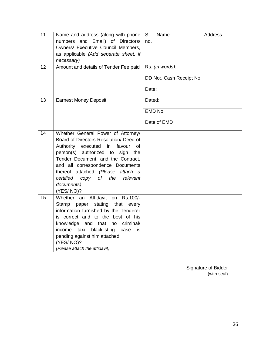| 11<br>12 | Name and address (along with phone<br>numbers and Email) of Directors/<br>Owners/ Executive Council Members,<br>as applicable (Add separate sheet, if<br>necessary)                                                                                                                                                                                  | S.<br>no. | Name                                        | <b>Address</b> |
|----------|------------------------------------------------------------------------------------------------------------------------------------------------------------------------------------------------------------------------------------------------------------------------------------------------------------------------------------------------------|-----------|---------------------------------------------|----------------|
|          | Amount and details of Tender Fee paid                                                                                                                                                                                                                                                                                                                | Date:     | Rs. (in words):<br>DD No:. Cash Receipt No: |                |
| 13       | <b>Earnest Money Deposit</b>                                                                                                                                                                                                                                                                                                                         | Dated:    | EMD No.<br>Date of EMD                      |                |
| 14       | Whether General Power of Attorney/<br>Board of Directors Resolution/ Deed of<br>Authority<br>executed<br>in favour<br>of<br>person(s) authorized to<br>sign<br>the<br>Tender Document, and the Contract,<br>and all correspondence Documents<br>thereof attached (Please attach a<br>certified<br>of the relevant<br>сору<br>documents)<br>(YES/NO)? |           |                                             |                |
| 15       | Whether an Affidavit<br>Rs.100/-<br>on<br>stating<br>Stamp<br>paper<br>that<br>every<br>information furnished by the Tenderer<br>is correct and to the best of his<br>knowledge and that no criminal/<br>income tax/<br>blacklisting<br>case<br>is.<br>pending against him attached<br>(YES/NO)?<br>(Please attach the affidavit)                    |           |                                             |                |

Signature of Bidder (with seal)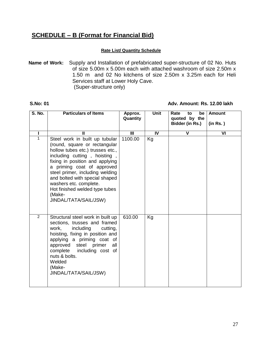# **SCHEDULE – B (Format for Financial Bid)**

#### **Rate List/ Quantity Schedule**

**Name of Work:** Supply and Installation of prefabricated super-structure of 02 No. Huts of size 5.00m x 5.00m each with attached washroom of size 2.50m x 1.50 m and 02 No kitchens of size 2.50m x 3.25m each for Heli Services staff at Lower Holy Cave. (Super-structure only)

#### **S.No: 01 Adv. Amount: Rs. 12.00 lakh**

| <b>S. No.</b>  | <b>Particulars of Items</b>                                                                                                                                                                                                                                                                                                                                              | Approx.<br>Quantity | Unit | Rate<br>be<br>to<br>quoted by the<br>Bidder (in Rs.) | <b>Amount</b><br>(in Rs.) |
|----------------|--------------------------------------------------------------------------------------------------------------------------------------------------------------------------------------------------------------------------------------------------------------------------------------------------------------------------------------------------------------------------|---------------------|------|------------------------------------------------------|---------------------------|
|                | Ш                                                                                                                                                                                                                                                                                                                                                                        | $\mathbf{III}$      | IV   | $\mathbf v$                                          | VI                        |
| 1              | Steel work in built up tubular<br>(round, square or rectangular<br>hollow tubes etc.) trusses etc.,<br>including cutting, hoisting,<br>fixing in position and applying<br>a priming coat of approved<br>steel primer, including welding<br>and bolted with special shaped<br>washers etc. complete.<br>Hot finished welded type tubes<br>(Make-<br>JINDAL/TATA/SAIL/JSW) | 1100.00             | Kg   |                                                      |                           |
| $\overline{2}$ | Structural steel work in built up<br>sections, trusses and framed<br>work,<br>including<br>cutting,<br>hoisting, fixing in position and<br>applying a priming coat of<br>steel primer<br>approved<br>all<br>complete<br>including cost of<br>nuts & bolts.<br>Welded<br>(Make-<br>JINDAL/TATA/SAIL/JSW)                                                                  | 610.00              | Kg   |                                                      |                           |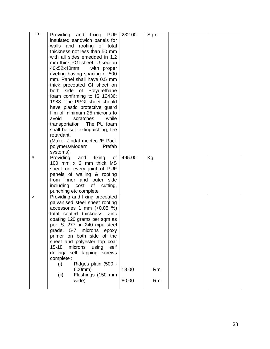| $\overline{3}$ . | Providing and fixing PUF            | 232.00 | Sqm |  |
|------------------|-------------------------------------|--------|-----|--|
|                  | insulated sandwich panels for       |        |     |  |
|                  | walls and roofing of total          |        |     |  |
|                  | thickness not less than 50 mm       |        |     |  |
|                  | with all sides emedded in 1.2       |        |     |  |
|                  | mm thick PGI sheet U-section        |        |     |  |
|                  | 40x52x40mm<br>with proper           |        |     |  |
|                  | riveting having spacing of 500      |        |     |  |
|                  | mm. Panel shall have 0.5 mm         |        |     |  |
|                  | thick precoated GI sheet on         |        |     |  |
|                  | both side of Polyurethane           |        |     |  |
|                  | foam confirming to IS 12436:        |        |     |  |
|                  | 1988. The PPGI sheet should         |        |     |  |
|                  | have plastic protective guard       |        |     |  |
|                  | film of minimum 25 microns to       |        |     |  |
|                  | avoid<br>scratches<br>while         |        |     |  |
|                  | transportation. The PU foam         |        |     |  |
|                  | shall be self-extinguishing, fire   |        |     |  |
|                  | retardant.                          |        |     |  |
|                  | (Make- Jindal mectec /E Pack        |        |     |  |
|                  | Prefab<br>polymers/Modern           |        |     |  |
|                  | systems)                            |        |     |  |
| $\overline{4}$   | and<br>fixing<br>of<br>Providing    | 495.00 | Kg  |  |
|                  | 100 mm x 2 mm thick MS              |        |     |  |
|                  | sheet on every joint of PUF         |        |     |  |
|                  | panels of walling & roofing         |        |     |  |
|                  | from inner and outer side           |        |     |  |
|                  | including<br>cost<br>of<br>cutting, |        |     |  |
|                  | punching etc complete               |        |     |  |
| 5                | Providing and fixing precoated      |        |     |  |
|                  | galvanised steel sheet roofing      |        |     |  |
|                  | accessories 1 mm $(+0.05 %)$        |        |     |  |
|                  | total coated thickness, Zinc        |        |     |  |
|                  | coating 120 grams per sqm as        |        |     |  |
|                  | per IS: 277, in 240 mpa steel       |        |     |  |
|                  | grade, 5-7 microns epoxy            |        |     |  |
|                  | primer on both side of the          |        |     |  |
|                  | sheet and polyester top coat        |        |     |  |
|                  | $15 - 18$<br>microns using self     |        |     |  |
|                  | drilling/ self tapping screws       |        |     |  |
|                  | complete:                           |        |     |  |
|                  | Ridges plain (500 -<br>(i)          |        |     |  |
|                  | 600mm)                              | 13.00  | Rm  |  |
|                  | Flashings (150 mm<br>(ii)           |        |     |  |
|                  | wide)                               | 80.00  | Rm  |  |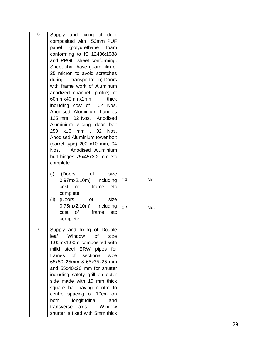| 6 | Supply and fixing of door         |    |     |  |
|---|-----------------------------------|----|-----|--|
|   | composited with 50mm PUF          |    |     |  |
|   | (polyurethane<br>panel<br>foam    |    |     |  |
|   | conforming to IS 12436:1988       |    |     |  |
|   | and PPGI sheet conforming.        |    |     |  |
|   | Sheet shall have guard film of    |    |     |  |
|   | 25 micron to avoid scratches      |    |     |  |
|   | transportation). Doors<br>during  |    |     |  |
|   | with frame work of Aluminum       |    |     |  |
|   | anodized channel (profile) of     |    |     |  |
|   | 60mmx40mmx2mm<br>thick            |    |     |  |
|   | including cost of<br>02 Nos.      |    |     |  |
|   | Anodised Aluminium handles        |    |     |  |
|   | 125 mm, 02 Nos. Anodised          |    |     |  |
|   | Aluminium sliding door bolt       |    |     |  |
|   | 250 x16<br>mm, 02<br>Nos.         |    |     |  |
|   | Anodised Aluminium tower bolt     |    |     |  |
|   | (barrel type) 200 x10 mm, 04      |    |     |  |
|   | Anodised Aluminium<br>Nos.        |    |     |  |
|   | butt hinges 75x45x3.2 mm etc      |    |     |  |
|   | complete.                         |    |     |  |
|   |                                   |    |     |  |
|   | (i)<br>(Doors<br>of<br>size       |    |     |  |
|   | $0.97$ mx $2.10$ m)<br>including  | 04 | No. |  |
|   | cost of<br>frame<br>etc           |    |     |  |
|   | complete                          |    |     |  |
|   | (Doors<br>of<br>size<br>(ii)      |    |     |  |
|   | 0.75mx2.10m<br>including          | 02 | No. |  |
|   | cost of<br>frame<br>etc           |    |     |  |
|   | complete                          |    |     |  |
|   |                                   |    |     |  |
|   | Supply and fixing of Double       |    |     |  |
|   | leaf<br>Window<br>of<br>size      |    |     |  |
|   | 1.00mx1.00m composited with       |    |     |  |
|   | milld steel ERW pipes for         |    |     |  |
|   | frames<br>of<br>sectional<br>size |    |     |  |
|   | 65x50x25mm & 65x35x25 mm          |    |     |  |
|   | and 55x40x20 mm for shutter       |    |     |  |
|   | including safety grill on outer   |    |     |  |
|   | side made with 10 mm thick        |    |     |  |
|   | square bar having centre to       |    |     |  |
|   | centre spacing of 10cm on         |    |     |  |
|   | longitudinal<br>both<br>and       |    |     |  |
|   | transverse axis.<br>Window        |    |     |  |
|   | shutter is fixed with 5mm thick   |    |     |  |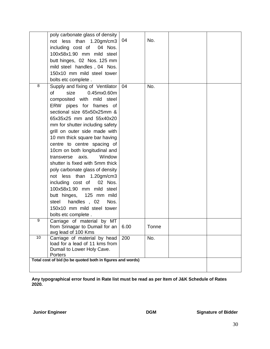|    | poly carbonate glass of density<br>not less than 1.20gm/cm3<br>including cost of<br>04 Nos.<br>100x58x1.90 mm mild steel<br>butt hinges, 02 Nos. 125 mm<br>mild steel handles, 04 Nos.<br>150x10 mm mild steel tower<br>bolts etc complete.                                                                                                                                                                                                                                                                                                                                                                                                                         | 04  | No.   |  |
|----|---------------------------------------------------------------------------------------------------------------------------------------------------------------------------------------------------------------------------------------------------------------------------------------------------------------------------------------------------------------------------------------------------------------------------------------------------------------------------------------------------------------------------------------------------------------------------------------------------------------------------------------------------------------------|-----|-------|--|
| 8  | Supply and fixing of Ventilator<br>0.45mx0.60m<br>size<br>of<br>composited with mild steel<br>ERW pipes for frames of<br>sectional size 65x50x25mm &<br>65x35x25 mm and 55x40x20<br>mm for shutter including safety<br>grill on outer side made with<br>10 mm thick square bar having<br>centre to centre spacing of<br>10cm on both longitudinal and<br>transverse axis.<br>Window<br>shutter is fixed with 5mm thick<br>poly carbonate glass of density<br>not less than 1.20gm/cm3<br>including cost of<br>02 Nos.<br>100x58x1.90 mm mild steel<br>butt hinges, 125 mm mild<br>handles, 02<br>Nos.<br>steel<br>150x10 mm mild steel tower<br>bolts etc complete. | 04  | No.   |  |
| 9  | Carriage of material by MT<br>from Srinagar to Dumail for an $\vert$ 6.00<br>avg lead of 100 Kms                                                                                                                                                                                                                                                                                                                                                                                                                                                                                                                                                                    |     | Tonne |  |
| 10 | Carriage of material by head<br>load for a lead of 11 kms from<br>Dumail to Lower Holy Cave.<br>Porters                                                                                                                                                                                                                                                                                                                                                                                                                                                                                                                                                             | 200 | No.   |  |
|    | Total cost of bid (to be quoted both in figures and words)                                                                                                                                                                                                                                                                                                                                                                                                                                                                                                                                                                                                          |     |       |  |

**Any typographical error found in Rate list must be read as per Item of J&K Schedule of Rates 2020.**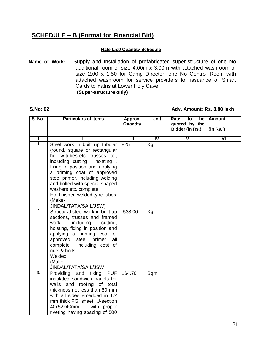# **SCHEDULE – B (Format for Financial Bid)**

#### **Rate List/ Quantity Schedule**

**Name of Work:** Supply and Installation of prefabricated super-structure of one No additional room of size 4.00m x 3.00m with attached washroom of size 2.00 x 1.50 for Camp Director, one No Control Room with attached washroom for service providers for issuance of Smart Cards to Yatris at Lower Holy Cave**. (Super-structure o**n**ly)**

#### **S.No: 02 Adv. Amount: Rs. 8.80 lakh**

| S. No.           | <b>Particulars of Items</b>                                                                                                                                                                                                                                                                                                                                              | Approx.<br>Quantity       | Unit           | Rate<br>be<br>to<br>quoted by the<br>Bidder (in Rs.) | <b>Amount</b><br>(in Rs.) |
|------------------|--------------------------------------------------------------------------------------------------------------------------------------------------------------------------------------------------------------------------------------------------------------------------------------------------------------------------------------------------------------------------|---------------------------|----------------|------------------------------------------------------|---------------------------|
|                  |                                                                                                                                                                                                                                                                                                                                                                          |                           |                |                                                      |                           |
|                  | π                                                                                                                                                                                                                                                                                                                                                                        | $\overline{\mathsf{III}}$ | $\overline{N}$ | $\overline{\mathsf{v}}$                              | $\overline{\mathsf{VI}}$  |
| $\mathbf{1}$     | Steel work in built up tubular<br>(round, square or rectangular<br>hollow tubes etc.) trusses etc.,<br>including cutting, hoisting,<br>fixing in position and applying<br>a priming coat of approved<br>steel primer, including welding<br>and bolted with special shaped<br>washers etc. complete.<br>Hot finished welded type tubes<br>(Make-<br>JINDAL/TATA/SAIL/JSW) | 825                       | Kg             |                                                      |                           |
| $\overline{2}$   | Structural steel work in built up<br>sections, trusses and framed<br>including<br>work,<br>cutting,<br>hoisting, fixing in position and<br>applying a priming coat of<br>steel<br>approved<br>primer<br>all<br>complete<br>including cost of<br>nuts & bolts.<br>Welded<br>(Make-<br>JINDAL/TATA/SAIL/JSW                                                                | 538.00                    | Kg             |                                                      |                           |
| $\overline{3}$ . | <b>PUF</b><br>Providing<br>and fixing<br>insulated sandwich panels for<br>walls and roofing of total<br>thickness not less than 50 mm<br>with all sides emedded in 1.2<br>mm thick PGI sheet U-section<br>40x52x40mm<br>with proper<br>riveting having spacing of 500                                                                                                    | 164.70                    | Sqm            |                                                      |                           |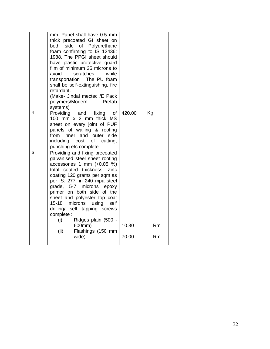|   | mm. Panel shall have 0.5 mm<br>thick precoated GI sheet on<br>both side of Polyurethane<br>foam confirming to IS 12436:<br>1988. The PPGI sheet should<br>have plastic protective guard<br>film of minimum 25 microns to<br>avoid<br>while<br>scratches<br>transportation. The PU foam<br>shall be self-extinguishing, fire<br>retardant.<br>(Make- Jindal mectec /E Pack<br>polymers/Modern<br>Prefab<br>systems)                                                |                |          |  |
|---|-------------------------------------------------------------------------------------------------------------------------------------------------------------------------------------------------------------------------------------------------------------------------------------------------------------------------------------------------------------------------------------------------------------------------------------------------------------------|----------------|----------|--|
| 4 | Providing<br>and<br>of<br>fixing<br>100 mm x 2 mm thick MS<br>sheet on every joint of PUF<br>panels of walling & roofing<br>from inner and outer side<br>including<br>of<br>cost<br>cutting,<br>punching etc complete                                                                                                                                                                                                                                             | 420.00         | Kg       |  |
| 5 | Providing and fixing precoated<br>galvanised steel sheet roofing<br>accessories 1 mm $(+0.05 %)$<br>total coated thickness, Zinc<br>coating 120 grams per sqm as<br>per IS: 277, in 240 mpa steel<br>grade, 5-7 microns epoxy<br>primer on both side of the<br>sheet and polyester top coat<br>microns<br>using<br>self<br>$15 - 18$<br>drilling/ self tapping screws<br>complete :<br>Ridges plain (500 -<br>(i)<br>600mm)<br>Flashings (150 mm<br>(ii)<br>wide) | 10.30<br>70.00 | Rm<br>Rm |  |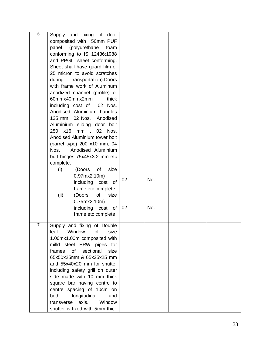| 6 | Supply and fixing of door         |    |     |  |
|---|-----------------------------------|----|-----|--|
|   | composited with 50mm PUF          |    |     |  |
|   | (polyurethane<br>panel<br>foam    |    |     |  |
|   | conforming to IS 12436:1988       |    |     |  |
|   | and PPGI sheet conforming.        |    |     |  |
|   |                                   |    |     |  |
|   | Sheet shall have guard film of    |    |     |  |
|   | 25 micron to avoid scratches      |    |     |  |
|   | during<br>transportation). Doors  |    |     |  |
|   | with frame work of Aluminum       |    |     |  |
|   | anodized channel (profile) of     |    |     |  |
|   | 60mmx40mmx2mm<br>thick            |    |     |  |
|   | including cost of<br>02 Nos.      |    |     |  |
|   | Anodised Aluminium handles        |    |     |  |
|   | 125 mm, 02 Nos. Anodised          |    |     |  |
|   | Aluminium sliding door bolt       |    |     |  |
|   | 250 x16<br>mm , 02<br>Nos.        |    |     |  |
|   | Anodised Aluminium tower bolt     |    |     |  |
|   | (barrel type) 200 x10 mm, 04      |    |     |  |
|   | Nos.                              |    |     |  |
|   | Anodised Aluminium                |    |     |  |
|   | butt hinges 75x45x3.2 mm etc      |    |     |  |
|   | complete.                         |    |     |  |
|   | (i)<br>(Doors of<br>size          |    |     |  |
|   | 0.97mx2.10m                       |    |     |  |
|   | including cost of                 | 02 | No. |  |
|   | frame etc complete                |    |     |  |
|   | (Doors<br>of<br>(ii)<br>size      |    |     |  |
|   | 0.75mx2.10m)                      |    |     |  |
|   | including cost of                 | 02 | No. |  |
|   | frame etc complete                |    |     |  |
|   |                                   |    |     |  |
| 7 | Supply and fixing of Double       |    |     |  |
|   | Window<br>leaf<br>of<br>size      |    |     |  |
|   | 1.00mx1.00m composited with       |    |     |  |
|   | milld steel ERW pipes for         |    |     |  |
|   | frames<br>of<br>sectional<br>size |    |     |  |
|   | 65x50x25mm & 65x35x25 mm          |    |     |  |
|   | and 55x40x20 mm for shutter       |    |     |  |
|   |                                   |    |     |  |
|   | including safety grill on outer   |    |     |  |
|   | side made with 10 mm thick        |    |     |  |
|   | square bar having centre to       |    |     |  |
|   | centre spacing of 10cm on         |    |     |  |
|   | longitudinal<br>both<br>and       |    |     |  |
|   | transverse axis.<br>Window        |    |     |  |
|   | shutter is fixed with 5mm thick   |    |     |  |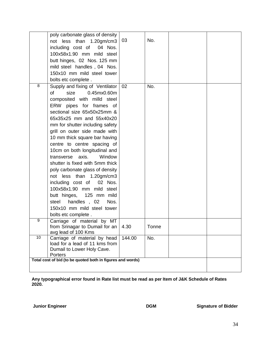|    | poly carbonate glass of density<br>less than 1.20gm/cm3<br>not<br>including cost of<br>04 Nos.<br>100x58x1.90 mm mild steel<br>butt hinges, 02 Nos. 125 mm<br>mild steel handles, 04 Nos.<br>150x10 mm mild steel tower<br>bolts etc complete.                                                                                                                                                                                                                                                                                                                                                                                                                       | 03     | No.   |  |
|----|----------------------------------------------------------------------------------------------------------------------------------------------------------------------------------------------------------------------------------------------------------------------------------------------------------------------------------------------------------------------------------------------------------------------------------------------------------------------------------------------------------------------------------------------------------------------------------------------------------------------------------------------------------------------|--------|-------|--|
| 8  | Supply and fixing of Ventilator<br>0.45mx0.60m<br>size<br>of<br>composited with milld steel<br>ERW pipes for frames of<br>sectional size 65x50x25mm &<br>65x35x25 mm and 55x40x20<br>mm for shutter including safety<br>grill on outer side made with<br>10 mm thick square bar having<br>centre to centre spacing of<br>10cm on both longitudinal and<br>transverse axis.<br>Window<br>shutter is fixed with 5mm thick<br>poly carbonate glass of density<br>not less than 1.20gm/cm3<br>including cost of<br>02 Nos.<br>100x58x1.90 mm mild steel<br>butt hinges, 125 mm mild<br>handles, 02<br>Nos.<br>steel<br>150x10 mm mild steel tower<br>bolts etc complete. | 02     | No.   |  |
| 9  | Carriage of material by MT<br>from Srinagar to Dumail for an   4.30<br>avg lead of 100 Kms                                                                                                                                                                                                                                                                                                                                                                                                                                                                                                                                                                           |        | Tonne |  |
| 10 | Carriage of material by head<br>load for a lead of 11 kms from<br>Dumail to Lower Holy Cave.<br>Porters                                                                                                                                                                                                                                                                                                                                                                                                                                                                                                                                                              | 144.00 | No.   |  |
|    | Total cost of bid (to be quoted both in figures and words)                                                                                                                                                                                                                                                                                                                                                                                                                                                                                                                                                                                                           |        |       |  |

**Any typographical error found in Rate list must be read as per Item of J&K Schedule of Rates 2020.**

**Junior Engineer Community Community Community Community DGM Signature of Bidder**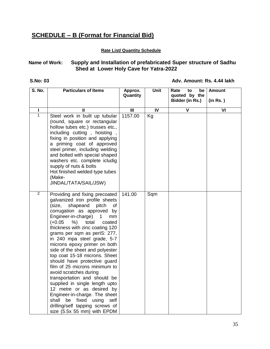# **SCHEDULE – B (Format for Financial Bid)**

#### **Rate List/ Quantity Schedule**

### **Name of Work: Supply and Installation of prefabricated Super structure of Sadhu Shed at Lower Holy Cave for Yatra-2022**

#### **S.No: 03 Adv. Amount: Rs. 4.44 lakh**

| S. No.         | <b>Particulars of Items</b>                                                                                                                                                                                                                                                                                                                                                                                                                                                                                                                                                                                                                                                                                                                                        | Approx.<br>Quantity     | <b>Unit</b>    | Rate<br>be<br>to<br>quoted by the | <b>Amount</b>            |
|----------------|--------------------------------------------------------------------------------------------------------------------------------------------------------------------------------------------------------------------------------------------------------------------------------------------------------------------------------------------------------------------------------------------------------------------------------------------------------------------------------------------------------------------------------------------------------------------------------------------------------------------------------------------------------------------------------------------------------------------------------------------------------------------|-------------------------|----------------|-----------------------------------|--------------------------|
|                |                                                                                                                                                                                                                                                                                                                                                                                                                                                                                                                                                                                                                                                                                                                                                                    |                         |                | Bidder (in Rs.)                   | (in Rs.)                 |
| ı              | Ш                                                                                                                                                                                                                                                                                                                                                                                                                                                                                                                                                                                                                                                                                                                                                                  | $\overline{\mathbf{m}}$ | $\overline{N}$ | $\overline{\mathsf{v}}$           | $\overline{\mathsf{VI}}$ |
| $\overline{1}$ | Steel work in built up tubular<br>(round, square or rectangular<br>hollow tubes etc.) trusses etc.,<br>including cutting, hoisting,<br>fixing in position and applying<br>a priming coat of approved<br>steel primer, including welding<br>and bolted with special shaped<br>washers etc. complete icludig<br>supply of nuts & bolts<br>Hot finished welded type tubes<br>(Make-<br>JINDAL/TATA/SAIL/JSW)                                                                                                                                                                                                                                                                                                                                                          | 1157.00                 | Kg             |                                   |                          |
| $\overline{2}$ | Providing and fixing precoated<br>galvanized iron profile sheets<br>shapeand<br>(size,<br>pitch<br>οf<br>corrugation as approved by<br>Engineer-in-charge)<br>$\mathbf{1}$<br>mm<br>$(+0.05)$<br>%)<br>total<br>coated<br>thickness with zinc coating 120<br>grams per sqm as perIS: 277,<br>in 240 mpa steel grade, 5-7<br>microns epoxy primer on both<br>side of the sheet and polyester<br>top coat 15-18 microns. Sheet<br>should have protective guard<br>film of 25 microns minimum to<br>avoid scratches during<br>transportation and should be<br>supplied in single length upto<br>12 metre or as desired by<br>Engineer-in-charge. The sheet<br>shall<br>fixed<br>be<br>using<br>self<br>drilling/self tapping screws of<br>size (5.5x 55 mm) with EPDM | 141.00                  | Sqm            |                                   |                          |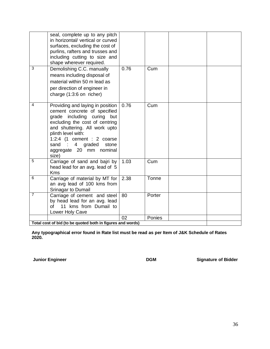|                                                            | seal, complete up to any pitch<br>in horizontal/ vertical or curved<br>surfaces, excluding the cost of<br>purlins, rafters and trusses and<br>including cutting to size and<br>shape wherever required.                                                                                  |      |        |  |  |  |
|------------------------------------------------------------|------------------------------------------------------------------------------------------------------------------------------------------------------------------------------------------------------------------------------------------------------------------------------------------|------|--------|--|--|--|
| 3                                                          | Demolishing C.C. manually<br>means including disposal of<br>material within 50 m lead as<br>per direction of engineer in<br>charge (1:3:6 on richer)                                                                                                                                     | 0.76 | Cum    |  |  |  |
| 4                                                          | Providing and laying in position<br>cement concrete of specified<br>grade including curing<br>but<br>excluding the cost of centring<br>and shuttering. All work upto<br>plinth level with:<br>1:2:4 (1 cement : 2 coarse<br>sand : 4 graded<br>stone<br>aggregate 20 mm nominal<br>size) | 0.76 | Cum    |  |  |  |
| 5                                                          | Carriage of sand and bajri by<br>head lead for an avg. lead of 5<br><b>Kms</b>                                                                                                                                                                                                           | 1.03 | Cum    |  |  |  |
| 6                                                          | Carriage of material by MT for<br>an avg lead of 100 kms from<br>Srinagar to Dumail                                                                                                                                                                                                      | 2.38 | Tonne  |  |  |  |
| $\overline{7}$                                             | Carriage of cement and steel<br>by head lead for an avg. lead<br>11 kms from Dumail to<br>of<br>Lower Holy Cave                                                                                                                                                                          | 80   | Porter |  |  |  |
|                                                            |                                                                                                                                                                                                                                                                                          | 02   | Ponies |  |  |  |
| Total cost of bid (to be quoted both in figures and words) |                                                                                                                                                                                                                                                                                          |      |        |  |  |  |

**Any typographical error found in Rate list must be read as per Item of J&K Schedule of Rates 2020.**

**Junior Engineer** 

**Junior Engineer Signature of Bidder**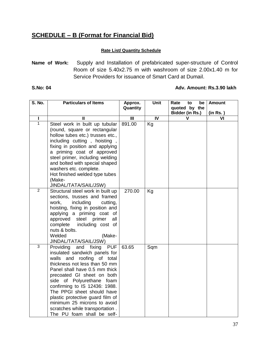# **SCHEDULE – B (Format for Financial Bid)**

#### **Rate List/ Quantity Schedule**

**Name of Work:** Supply and Installation of prefabricated super-structure of Control Room of size 5.40x2.75 m with washroom of size 2.00x1.40 m for Service Providers for issuance of Smart Card at Dumail.

#### **S.No: 04 Adv. Amount: Rs.3.90 lakh**

| S. No.         | <b>Particulars of Items</b>                                    | Approx.                 | Unit           | Rate<br>be<br>to                 | <b>Amount</b>           |
|----------------|----------------------------------------------------------------|-------------------------|----------------|----------------------------------|-------------------------|
|                |                                                                | Quantity                |                | quoted by the<br>Bidder (in Rs.) | (in Rs.)                |
| I              | $\mathbf{I}$                                                   | $\overline{\mathbf{m}}$ | $\overline{N}$ | V                                | $\overline{\mathsf{v}}$ |
| $\mathbf{1}$   | Steel work in built up tubular                                 | 891.00                  | Kg             |                                  |                         |
|                | (round, square or rectangular                                  |                         |                |                                  |                         |
|                | hollow tubes etc.) trusses etc.,                               |                         |                |                                  |                         |
|                | including cutting, hoisting,                                   |                         |                |                                  |                         |
|                | fixing in position and applying                                |                         |                |                                  |                         |
|                | a priming coat of approved                                     |                         |                |                                  |                         |
|                | steel primer, including welding                                |                         |                |                                  |                         |
|                | and bolted with special shaped                                 |                         |                |                                  |                         |
|                | washers etc. complete.<br>Hot finished welded type tubes       |                         |                |                                  |                         |
|                | (Make-                                                         |                         |                |                                  |                         |
|                | JINDAL/TATA/SAIL/JSW)                                          |                         |                |                                  |                         |
| $\overline{2}$ | Structural steel work in built up                              | 270.00                  | Kg             |                                  |                         |
|                | sections, trusses and framed                                   |                         |                |                                  |                         |
|                | work,<br>including<br>cutting,                                 |                         |                |                                  |                         |
|                | hoisting, fixing in position and                               |                         |                |                                  |                         |
|                | applying a priming coat of<br>approved steel primer<br>all     |                         |                |                                  |                         |
|                | complete<br>including cost of                                  |                         |                |                                  |                         |
|                | nuts & bolts.                                                  |                         |                |                                  |                         |
|                | Welded<br>(Make-                                               |                         |                |                                  |                         |
|                | JINDAL/TATA/SAIL/JSW)                                          |                         |                |                                  |                         |
| $\overline{3}$ | Providing<br>and fixing<br><b>PUF</b>                          | 63.65                   | Sqm            |                                  |                         |
|                | insulated sandwich panels for                                  |                         |                |                                  |                         |
|                | walls and roofing of total<br>thickness not less than 50 mm    |                         |                |                                  |                         |
|                | Panel shall have 0.5 mm thick                                  |                         |                |                                  |                         |
|                | precoated GI sheet on both                                     |                         |                |                                  |                         |
|                | side of Polyurethane foam                                      |                         |                |                                  |                         |
|                | confirming to IS 12436: 1988.                                  |                         |                |                                  |                         |
|                | The PPGI sheet should have                                     |                         |                |                                  |                         |
|                | plastic protective guard film of                               |                         |                |                                  |                         |
|                | minimum 25 microns to avoid<br>scratches while transportation. |                         |                |                                  |                         |
|                | The PU foam shall be self-                                     |                         |                |                                  |                         |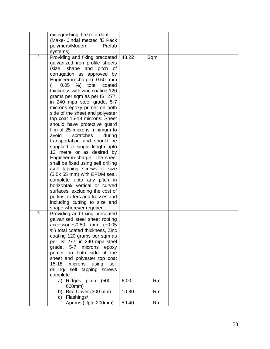|   | extinguishing, fire retardant.<br>(Make- Jindal mectec /E Pack  |       |           |  |
|---|-----------------------------------------------------------------|-------|-----------|--|
|   | polymers/Modern<br>Prefab                                       |       |           |  |
| 4 | systems)<br>Providing and fixing precoated                      | 48.22 | Sqm       |  |
|   | galvanized iron profile sheets                                  |       |           |  |
|   | (size, shape and pitch<br>of                                    |       |           |  |
|   | corrugation as approved by                                      |       |           |  |
|   | Engineer-in-charge) 0.50 mm                                     |       |           |  |
|   | $(+ 0.05 %)$ total coated                                       |       |           |  |
|   | thickness with zinc coating 120                                 |       |           |  |
|   | grams per sqm as per IS: 277,                                   |       |           |  |
|   | in 240 mpa steel grade, 5-7                                     |       |           |  |
|   | microns epoxy primer on both<br>side of the sheet and polyester |       |           |  |
|   | top coat 15-18 microns. Sheet                                   |       |           |  |
|   | should have protective guard                                    |       |           |  |
|   | film of 25 microns minimum to                                   |       |           |  |
|   | avoid<br>scratches<br>during                                    |       |           |  |
|   | transportation and should be                                    |       |           |  |
|   | supplied in single length upto                                  |       |           |  |
|   | 12 metre or as desired by                                       |       |           |  |
|   | Engineer-in-charge. The sheet                                   |       |           |  |
|   | shall be fixed using self drilling                              |       |           |  |
|   | /self tapping screws of size<br>(5.5x 55 mm) with EPDM seal,    |       |           |  |
|   | complete upto any pitch in                                      |       |           |  |
|   | horizontal/ vertical or curved                                  |       |           |  |
|   | surfaces, excluding the cost of                                 |       |           |  |
|   | purlins, rafters and trusses and                                |       |           |  |
|   | including cutting to size and                                   |       |           |  |
|   | shape wherever required.                                        |       |           |  |
| 5 | Providing and fixing precoated                                  |       |           |  |
|   | galvanised steel sheet roofing                                  |       |           |  |
|   | accessories0.50<br>mm<br>$(+0.05)$                              |       |           |  |
|   | %) total coated thickness, Zinc<br>coating 120 grams per sqm as |       |           |  |
|   | per IS: 277, in 240 mpa steel                                   |       |           |  |
|   | grade, 5-7 microns epoxy                                        |       |           |  |
|   | primer on both side of the                                      |       |           |  |
|   | sheet and polyester top coat                                    |       |           |  |
|   | $15 - 18$<br>microns<br>using<br>self                           |       |           |  |
|   | drilling/ self tapping screws                                   |       |           |  |
|   | complete :                                                      |       |           |  |
|   | a) Ridges plain (500 -                                          | 6.00  | <b>Rm</b> |  |
|   | 600mm)                                                          |       |           |  |
|   | b) Bird Cover (300 mm)<br>Flashings/                            | 10.80 | <b>Rm</b> |  |
|   | C)                                                              |       |           |  |
|   | Aprons.(Upto 200mm)                                             | 59.40 | Rm        |  |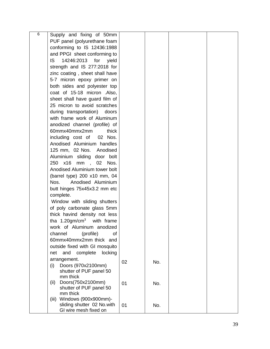| 6 | Supply and fixing of 50mm                                   |    |     |  |
|---|-------------------------------------------------------------|----|-----|--|
|   |                                                             |    |     |  |
|   | PUF panel (polyurethane foam                                |    |     |  |
|   | conforming to IS 12436:1988                                 |    |     |  |
|   | and PPGI sheet conforming to                                |    |     |  |
|   | IS.<br>14246:2013<br>for<br>yield                           |    |     |  |
|   | strength and IS 277:2018 for                                |    |     |  |
|   | zinc coating, sheet shall have                              |    |     |  |
|   | 5-7 micron epoxy primer on                                  |    |     |  |
|   | both sides and polyester top                                |    |     |  |
|   | coat of 15-18 micron .Also,                                 |    |     |  |
|   | sheet shall have guard film of                              |    |     |  |
|   | 25 micron to avoid scratches                                |    |     |  |
|   | during transportation) doors                                |    |     |  |
|   | with frame work of Aluminum                                 |    |     |  |
|   | anodized channel (profile) of                               |    |     |  |
|   | 60mmx40mmx2mm<br>thick                                      |    |     |  |
|   | including cost of 02 Nos.                                   |    |     |  |
|   | Anodised Aluminium handles                                  |    |     |  |
|   | 125 mm, 02 Nos. Anodised                                    |    |     |  |
|   | Aluminium sliding door bolt                                 |    |     |  |
|   | 250 x16<br>mm<br>02<br>Nos.<br>$\overline{\phantom{a}}$     |    |     |  |
|   | Anodised Aluminium tower bolt                               |    |     |  |
|   | (barrel type) 200 x10 mm, 04                                |    |     |  |
|   | Anodised Aluminium<br>Nos.                                  |    |     |  |
|   | butt hinges 75x45x3.2 mm etc                                |    |     |  |
|   | complete.                                                   |    |     |  |
|   | Window with sliding shutters                                |    |     |  |
|   | of poly carbonate glass 5mm                                 |    |     |  |
|   | thick havind density not less                               |    |     |  |
|   | tha $1.20$ gm/cm <sup>3</sup> with frame                    |    |     |  |
|   | work of Aluminum anodized                                   |    |     |  |
|   | (profile)<br>channel<br>of                                  |    |     |  |
|   | 60mmx40mmx2mm thick and                                     |    |     |  |
|   | outside fixed with GI mosquito                              |    |     |  |
|   | locking<br>and<br>complete<br>net                           |    |     |  |
|   | arrangement.                                                |    |     |  |
|   | Doors (970x2100mm)<br>(i)                                   | 02 | No. |  |
|   | shutter of PUF panel 50                                     |    |     |  |
|   | mm thick                                                    |    |     |  |
|   | Doors(750x2100mm)<br>(ii)                                   | 01 | No. |  |
|   | shutter of PUF panel 50                                     |    |     |  |
|   | mm thick                                                    |    |     |  |
|   | Windows (900x900mm)-<br>(iii)<br>sliding shutter 02 No.with |    |     |  |
|   | GI wire mesh fixed on                                       | 01 | No. |  |
|   |                                                             |    |     |  |